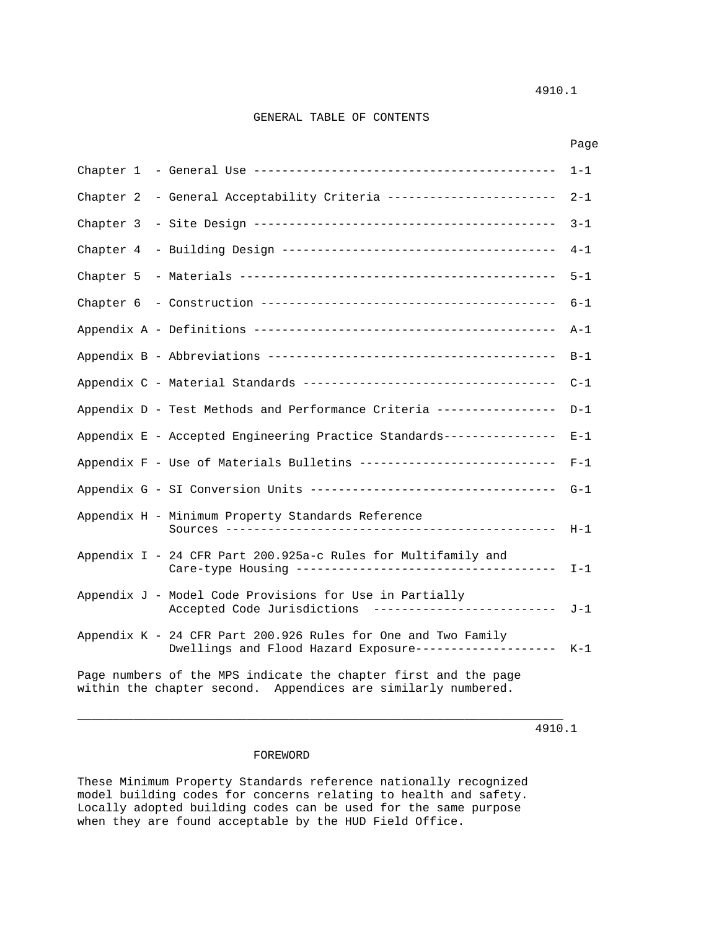### GENERAL TABLE OF CONTENTS

|           |                                                                                                                                  | Page    |
|-----------|----------------------------------------------------------------------------------------------------------------------------------|---------|
|           |                                                                                                                                  | $1 - 1$ |
| Chapter 2 | - General Acceptability Criteria ------------------------                                                                        | $2 - 1$ |
| Chapter 3 |                                                                                                                                  | $3 - 1$ |
| Chapter 4 |                                                                                                                                  | $4 - 1$ |
| Chapter 5 |                                                                                                                                  | $5 - 1$ |
|           |                                                                                                                                  | $6 - 1$ |
|           |                                                                                                                                  | $A-1$   |
|           |                                                                                                                                  | $B-1$   |
|           |                                                                                                                                  | $C-1$   |
|           | Appendix D - Test Methods and Performance Criteria ----------------                                                              | $D-1$   |
|           | Appendix E - Accepted Engineering Practice Standards---------------                                                              | $E - 1$ |
|           | Appendix F - Use of Materials Bulletins ---------------------------                                                              | $F-1$   |
|           | Appendix G - SI Conversion Units -----------------------------------                                                             | $G-1$   |
|           | Appendix H - Minimum Property Standards Reference                                                                                | $H-1$   |
|           | Appendix I - 24 CFR Part 200.925a-c Rules for Multifamily and                                                                    | $I-1$   |
|           | Appendix J - Model Code Provisions for Use in Partially<br>Accepted Code Jurisdictions --------------------------                | J-1     |
|           | Appendix K - 24 CFR Part 200.926 Rules for One and Two Family<br>Dwellings and Flood Hazard Exposure-------------------          | $K-1$   |
|           | Page numbers of the MPS indicate the chapter first and the page<br>within the chapter second. Appendices are similarly numbered. |         |

4910.1

### FOREWORD

These Minimum Property Standards reference nationally recognized model building codes for concerns relating to health and safety. Locally adopted building codes can be used for the same purpose when they are found acceptable by the HUD Field Office.

\_\_\_\_\_\_\_\_\_\_\_\_\_\_\_\_\_\_\_\_\_\_\_\_\_\_\_\_\_\_\_\_\_\_\_\_\_\_\_\_\_\_\_\_\_\_\_\_\_\_\_\_\_\_\_\_\_\_\_\_\_\_\_\_\_\_\_\_\_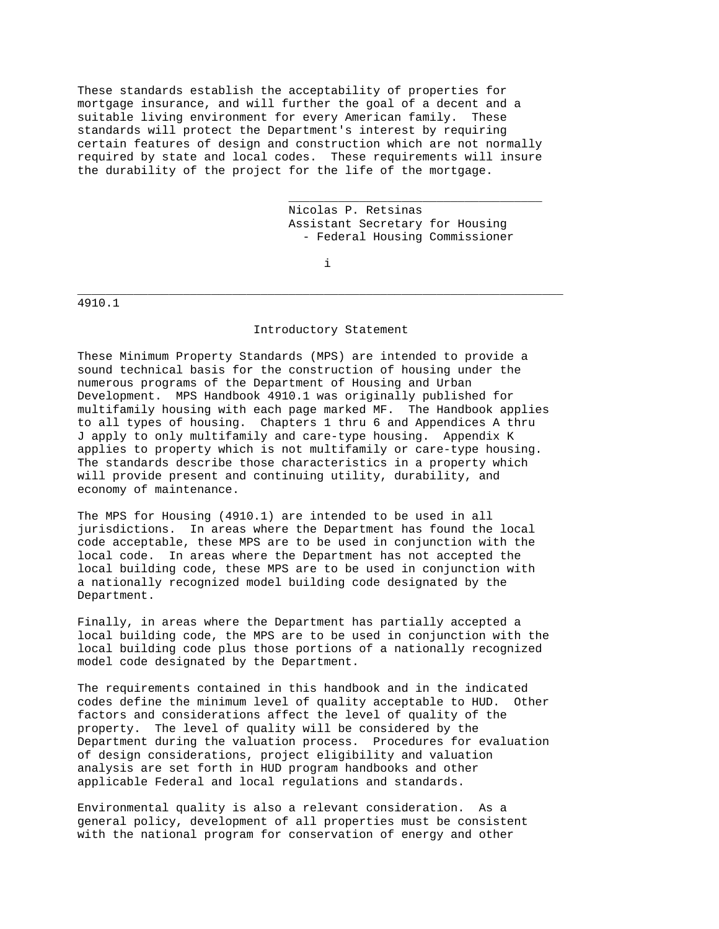These standards establish the acceptability of properties for mortgage insurance, and will further the goal of a decent and a suitable living environment for every American family. These standards will protect the Department's interest by requiring certain features of design and construction which are not normally required by state and local codes. These requirements will insure the durability of the project for the life of the mortgage.

 $\overline{\phantom{a}}$  , and the contract of the contract of the contract of the contract of the contract of the contract of the contract of the contract of the contract of the contract of the contract of the contract of the contrac

 Nicolas P. Retsinas Assistant Secretary for Housing - Federal Housing Commissioner

in the contract of the contract of the contract of the contract of the contract of the contract of the contract of the contract of the contract of the contract of the contract of the contract of the contract of the contrac

\_\_\_\_\_\_\_\_\_\_\_\_\_\_\_\_\_\_\_\_\_\_\_\_\_\_\_\_\_\_\_\_\_\_\_\_\_\_\_\_\_\_\_\_\_\_\_\_\_\_\_\_\_\_\_\_\_\_\_\_\_\_\_\_\_\_\_\_\_

4910.1

#### Introductory Statement

These Minimum Property Standards (MPS) are intended to provide a sound technical basis for the construction of housing under the numerous programs of the Department of Housing and Urban Development. MPS Handbook 4910.1 was originally published for multifamily housing with each page marked MF. The Handbook applies to all types of housing. Chapters 1 thru 6 and Appendices A thru J apply to only multifamily and care-type housing. Appendix K applies to property which is not multifamily or care-type housing. The standards describe those characteristics in a property which will provide present and continuing utility, durability, and economy of maintenance.

The MPS for Housing (4910.1) are intended to be used in all jurisdictions. In areas where the Department has found the local code acceptable, these MPS are to be used in conjunction with the local code. In areas where the Department has not accepted the local building code, these MPS are to be used in conjunction with a nationally recognized model building code designated by the Department.

Finally, in areas where the Department has partially accepted a local building code, the MPS are to be used in conjunction with the local building code plus those portions of a nationally recognized model code designated by the Department.

The requirements contained in this handbook and in the indicated codes define the minimum level of quality acceptable to HUD. Other factors and considerations affect the level of quality of the property. The level of quality will be considered by the Department during the valuation process. Procedures for evaluation of design considerations, project eligibility and valuation analysis are set forth in HUD program handbooks and other applicable Federal and local regulations and standards.

Environmental quality is also a relevant consideration. As a general policy, development of all properties must be consistent with the national program for conservation of energy and other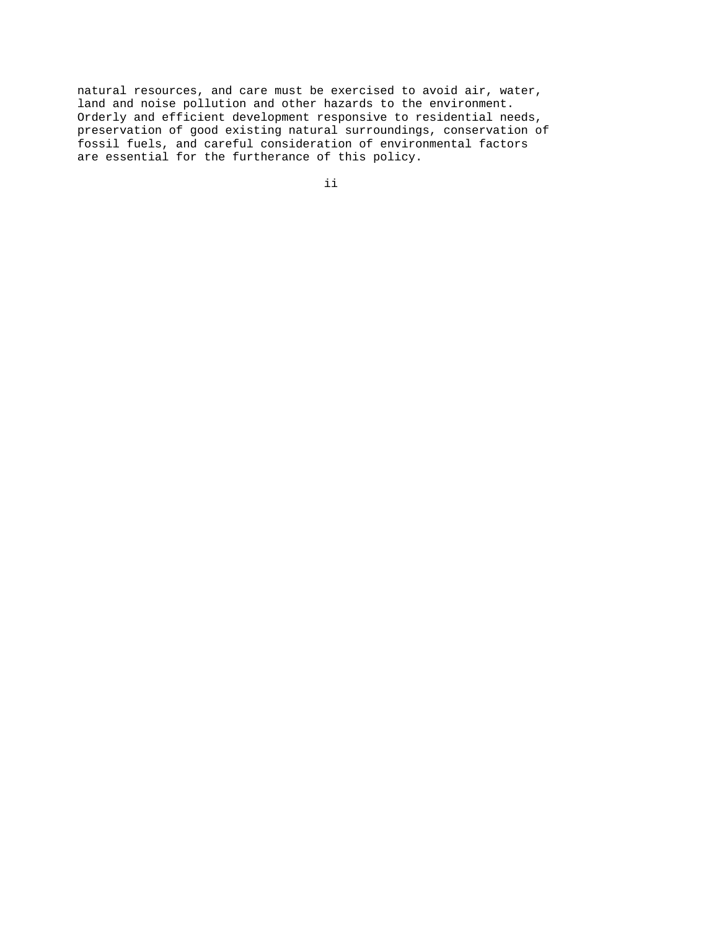natural resources, and care must be exercised to avoid air, water, land and noise pollution and other hazards to the environment. Orderly and efficient development responsive to residential needs, preservation of good existing natural surroundings, conservation of fossil fuels, and careful consideration of environmental factors are essential for the furtherance of this policy.

ii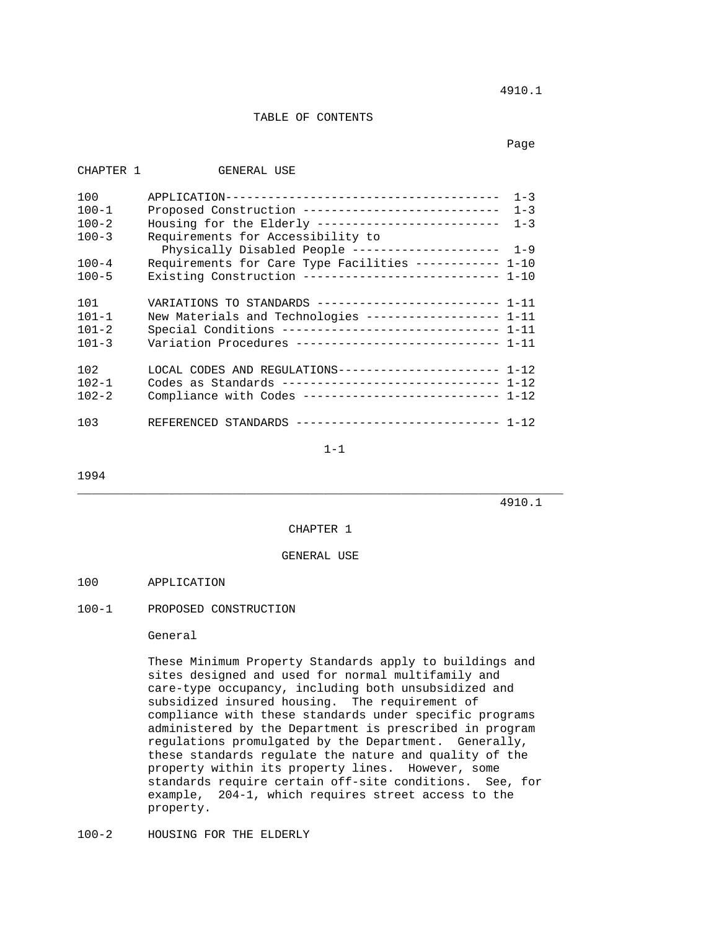4910.1

# TABLE OF CONTENTS

in the control of the control of the control of the control of the control of the control of the control of the control of the control of the control of the control of the control of the control of the control of the contr

| CHAPTER 1 | GENERAL USE                                                   |
|-----------|---------------------------------------------------------------|
| 100       | $1 - 3$                                                       |
| $100 - 1$ | Proposed Construction ----------------------------<br>$1 - 3$ |
| $100 - 2$ | Housing for the Elderly --------------------------<br>$1 - 3$ |
| $100 - 3$ | Requirements for Accessibility to                             |
|           | $1 - 9$<br>Physically Disabled People ---------------------   |
| $100 - 4$ | Requirements for Care Type Facilities ----------- 1-10        |
| $100 - 5$ | Existing Construction --------------------------- 1-10        |
|           |                                                               |
| 101       | VARIATIONS TO STANDARDS ------------------------- 1-11        |
| $101 - 1$ | New Materials and Technologies ------------------ 1-11        |
| $101 - 2$ | Special Conditions ------------------------------ 1-11        |
| $101 - 3$ | Variation Procedures ----------------------------- 1-11       |
|           |                                                               |
| 102       | LOCAL CODES AND REGULATIONS---------------------- 1-12        |
| $102 - 1$ | Codes as Standards ------------------------------ 1-12        |
| $102 - 2$ | Compliance with Codes --------------------------- 1-12        |
|           |                                                               |
| 103       | REFERENCED STANDARDS ----------------------------- 1-12       |

1-1

1994

4910.1

#### CHAPTER 1

\_\_\_\_\_\_\_\_\_\_\_\_\_\_\_\_\_\_\_\_\_\_\_\_\_\_\_\_\_\_\_\_\_\_\_\_\_\_\_\_\_\_\_\_\_\_\_\_\_\_\_\_\_\_\_\_\_\_\_\_\_\_\_\_\_\_\_\_\_

GENERAL USE

#### 100 APPLICATION

### 100-1 PROPOSED CONSTRUCTION

### General

 These Minimum Property Standards apply to buildings and sites designed and used for normal multifamily and care-type occupancy, including both unsubsidized and subsidized insured housing. The requirement of compliance with these standards under specific programs administered by the Department is prescribed in program regulations promulgated by the Department. Generally, these standards regulate the nature and quality of the property within its property lines. However, some standards require certain off-site conditions. See, for example, 204-1, which requires street access to the property.

100-2 HOUSING FOR THE ELDERLY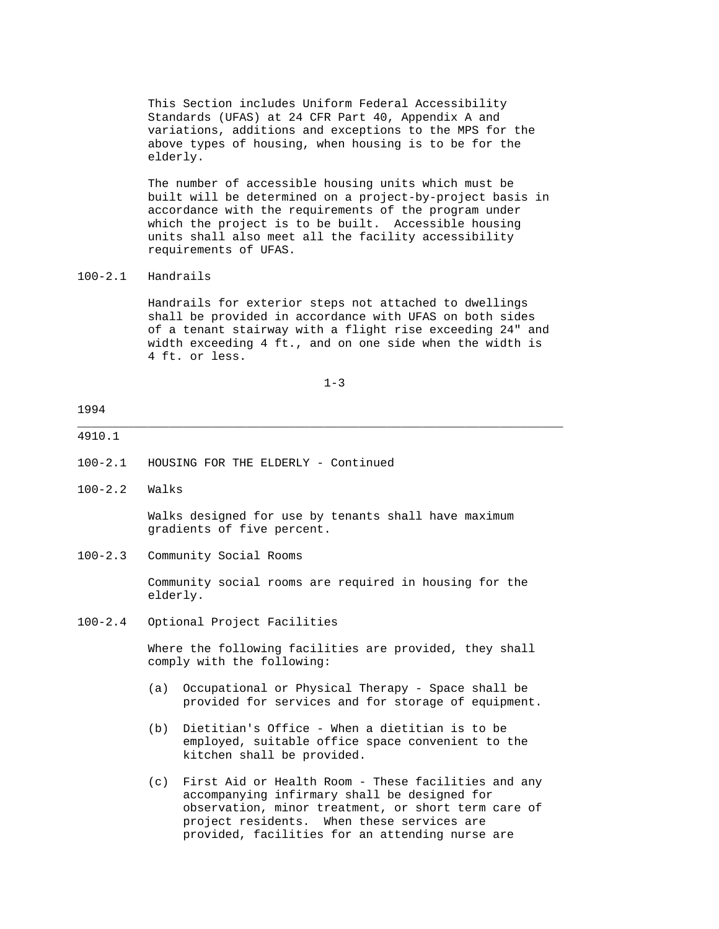This Section includes Uniform Federal Accessibility Standards (UFAS) at 24 CFR Part 40, Appendix A and variations, additions and exceptions to the MPS for the above types of housing, when housing is to be for the elderly.

 The number of accessible housing units which must be built will be determined on a project-by-project basis in accordance with the requirements of the program under which the project is to be built. Accessible housing units shall also meet all the facility accessibility requirements of UFAS.

### 100-2.1 Handrails

 Handrails for exterior steps not attached to dwellings shall be provided in accordance with UFAS on both sides of a tenant stairway with a flight rise exceeding 24" and width exceeding 4 ft., and on one side when the width is 4 ft. or less.

1-3

\_\_\_\_\_\_\_\_\_\_\_\_\_\_\_\_\_\_\_\_\_\_\_\_\_\_\_\_\_\_\_\_\_\_\_\_\_\_\_\_\_\_\_\_\_\_\_\_\_\_\_\_\_\_\_\_\_\_\_\_\_\_\_\_\_\_\_\_\_

### 1994

#### 4910.1

- 100-2.1 HOUSING FOR THE ELDERLY Continued
- 100-2.2 Walks

 Walks designed for use by tenants shall have maximum gradients of five percent.

100-2.3 Community Social Rooms

 Community social rooms are required in housing for the elderly.

100-2.4 Optional Project Facilities

 Where the following facilities are provided, they shall comply with the following:

- (a) Occupational or Physical Therapy Space shall be provided for services and for storage of equipment.
- (b) Dietitian's Office When a dietitian is to be employed, suitable office space convenient to the kitchen shall be provided.
- (c) First Aid or Health Room These facilities and any accompanying infirmary shall be designed for observation, minor treatment, or short term care of project residents. When these services are provided, facilities for an attending nurse are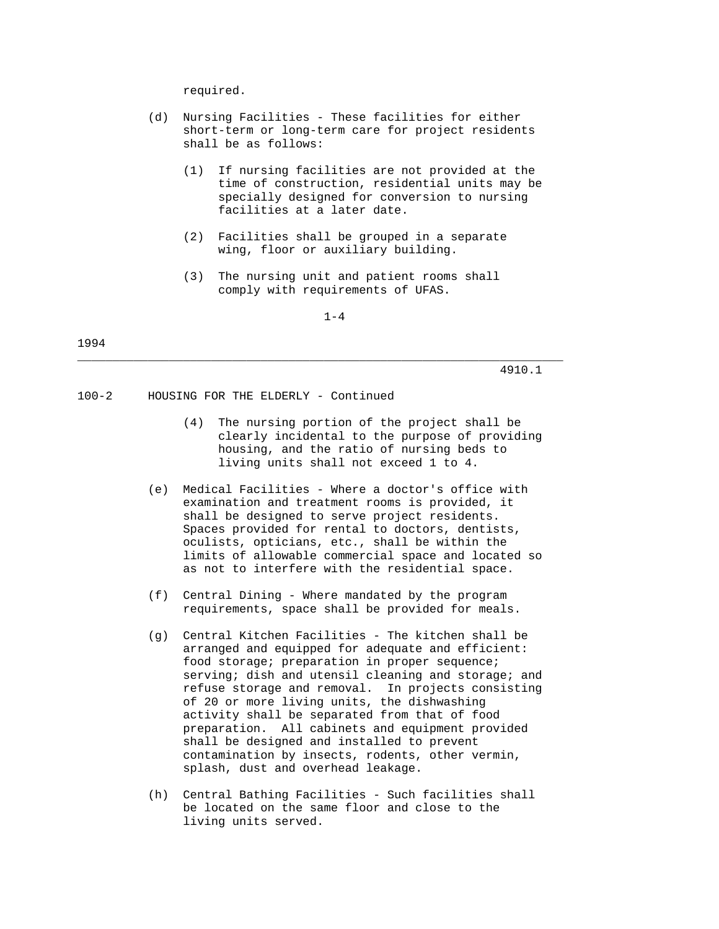required.

- (d) Nursing Facilities These facilities for either short-term or long-term care for project residents shall be as follows:
	- (1) If nursing facilities are not provided at the time of construction, residential units may be specially designed for conversion to nursing facilities at a later date.
	- (2) Facilities shall be grouped in a separate wing, floor or auxiliary building.
	- (3) The nursing unit and patient rooms shall comply with requirements of UFAS.

1-4

\_\_\_\_\_\_\_\_\_\_\_\_\_\_\_\_\_\_\_\_\_\_\_\_\_\_\_\_\_\_\_\_\_\_\_\_\_\_\_\_\_\_\_\_\_\_\_\_\_\_\_\_\_\_\_\_\_\_\_\_\_\_\_\_\_\_\_\_\_

1994

4910.1

100-2 HOUSING FOR THE ELDERLY - Continued

- (4) The nursing portion of the project shall be clearly incidental to the purpose of providing housing, and the ratio of nursing beds to living units shall not exceed 1 to 4.
- (e) Medical Facilities Where a doctor's office with examination and treatment rooms is provided, it shall be designed to serve project residents. Spaces provided for rental to doctors, dentists, oculists, opticians, etc., shall be within the limits of allowable commercial space and located so as not to interfere with the residential space.
- (f) Central Dining Where mandated by the program requirements, space shall be provided for meals.
- (g) Central Kitchen Facilities The kitchen shall be arranged and equipped for adequate and efficient: food storage; preparation in proper sequence; serving; dish and utensil cleaning and storage; and refuse storage and removal. In projects consisting of 20 or more living units, the dishwashing activity shall be separated from that of food preparation. All cabinets and equipment provided shall be designed and installed to prevent contamination by insects, rodents, other vermin, splash, dust and overhead leakage.
- (h) Central Bathing Facilities Such facilities shall be located on the same floor and close to the living units served.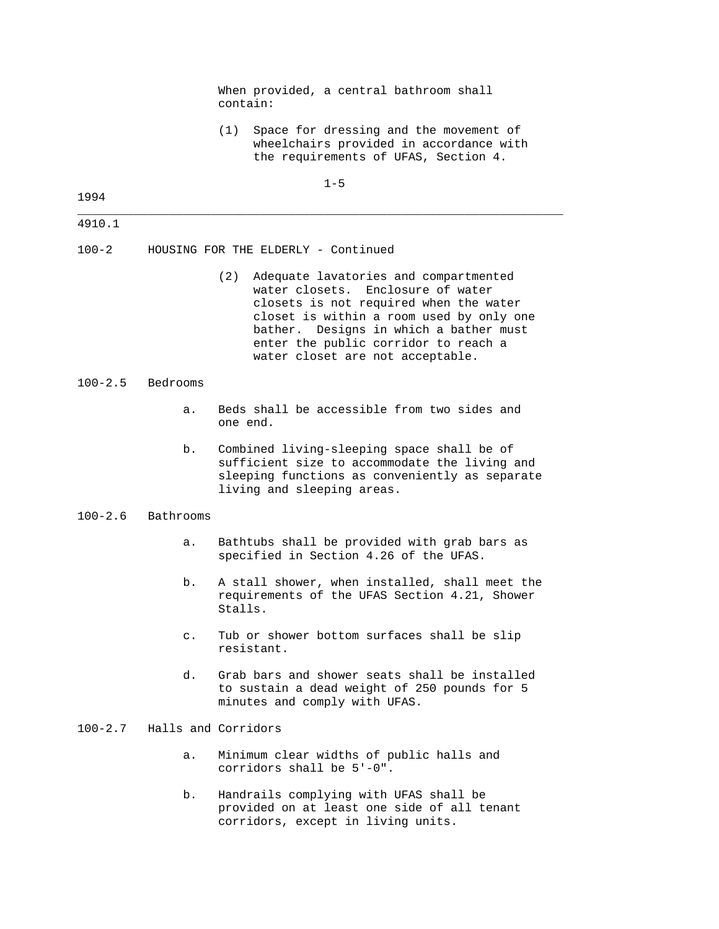When provided, a central bathroom shall contain:

 (1) Space for dressing and the movement of wheelchairs provided in accordance with the requirements of UFAS, Section 4.

### 1-5

\_\_\_\_\_\_\_\_\_\_\_\_\_\_\_\_\_\_\_\_\_\_\_\_\_\_\_\_\_\_\_\_\_\_\_\_\_\_\_\_\_\_\_\_\_\_\_\_\_\_\_\_\_\_\_\_\_\_\_\_\_\_\_\_\_\_\_\_\_

#### 1994

| v | ٠ |  |
|---|---|--|

100-2 HOUSING FOR THE ELDERLY - Continued

 (2) Adequate lavatories and compartmented water closets. Enclosure of water closets is not required when the water closet is within a room used by only one bather. Designs in which a bather must enter the public corridor to reach a water closet are not acceptable.

#### 100-2.5 Bedrooms

- a. Beds shall be accessible from two sides and one end.
- b. Combined living-sleeping space shall be of sufficient size to accommodate the living and sleeping functions as conveniently as separate living and sleeping areas.

# 100-2.6 Bathrooms

- a. Bathtubs shall be provided with grab bars as specified in Section 4.26 of the UFAS.
- b. A stall shower, when installed, shall meet the requirements of the UFAS Section 4.21, Shower Stalls.
- c. Tub or shower bottom surfaces shall be slip resistant.
- d. Grab bars and shower seats shall be installed to sustain a dead weight of 250 pounds for 5 minutes and comply with UFAS.

# 100-2.7 Halls and Corridors

- a. Minimum clear widths of public halls and corridors shall be 5'-0".
- b. Handrails complying with UFAS shall be provided on at least one side of all tenant corridors, except in living units.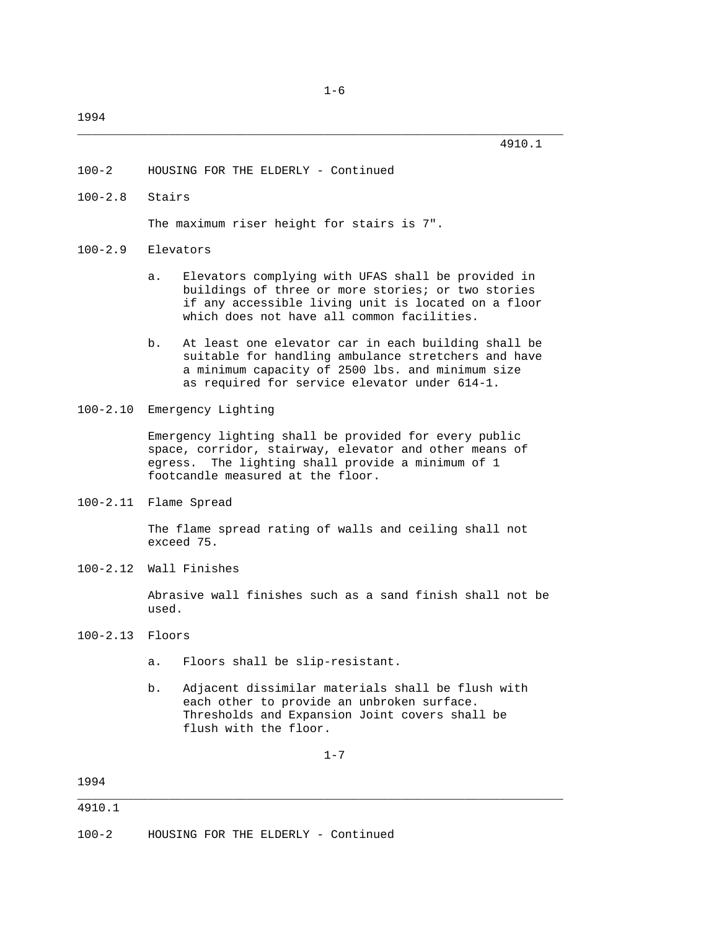\_\_\_\_\_\_\_\_\_\_\_\_\_\_\_\_\_\_\_\_\_\_\_\_\_\_\_\_\_\_\_\_\_\_\_\_\_\_\_\_\_\_\_\_\_\_\_\_\_\_\_\_\_\_\_\_\_\_\_\_\_\_\_\_\_\_\_\_\_

- 100-2 HOUSING FOR THE ELDERLY Continued
- 100-2.8 Stairs

The maximum riser height for stairs is 7".

- 100-2.9 Elevators
	- a. Elevators complying with UFAS shall be provided in buildings of three or more stories; or two stories if any accessible living unit is located on a floor which does not have all common facilities.
	- b. At least one elevator car in each building shall be suitable for handling ambulance stretchers and have a minimum capacity of 2500 lbs. and minimum size as required for service elevator under 614-1.
- 100-2.10 Emergency Lighting

 Emergency lighting shall be provided for every public space, corridor, stairway, elevator and other means of egress. The lighting shall provide a minimum of 1 footcandle measured at the floor.

100-2.11 Flame Spread

 The flame spread rating of walls and ceiling shall not exceed 75.

100-2.12 Wall Finishes

 Abrasive wall finishes such as a sand finish shall not be used.

- 100-2.13 Floors
	- a. Floors shall be slip-resistant.
	- b. Adjacent dissimilar materials shall be flush with each other to provide an unbroken surface. Thresholds and Expansion Joint covers shall be flush with the floor.

1-7

1994 \_\_\_\_\_\_\_\_\_\_\_\_\_\_\_\_\_\_\_\_\_\_\_\_\_\_\_\_\_\_\_\_\_\_\_\_\_\_\_\_\_\_\_\_\_\_\_\_\_\_\_\_\_\_\_\_\_\_\_\_\_\_\_\_\_\_\_\_\_

100-2 HOUSING FOR THE ELDERLY - Continued

<sup>4910.1</sup>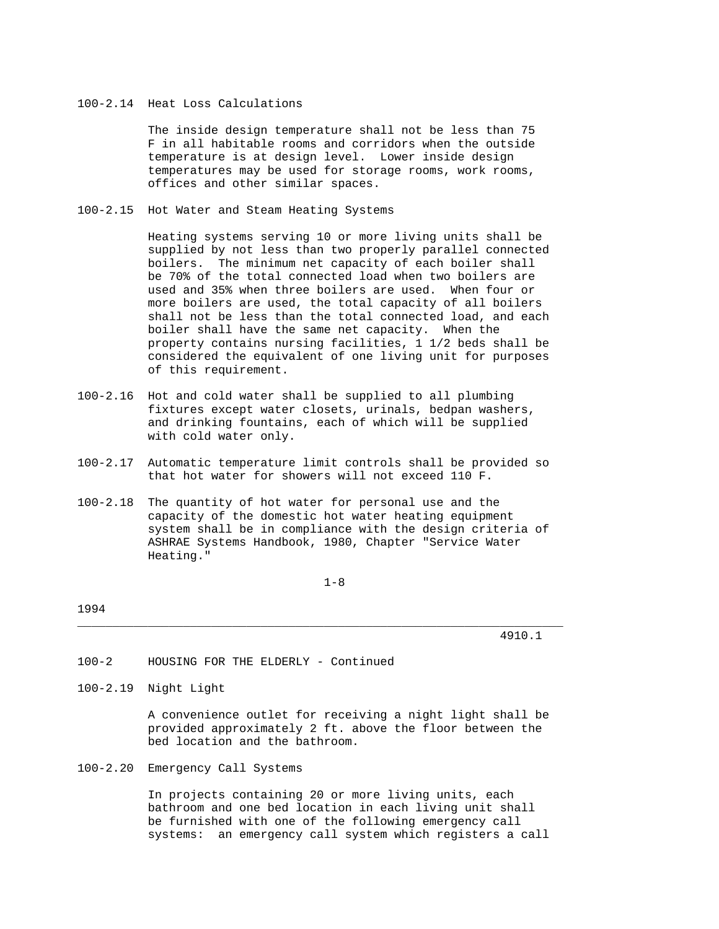# 100-2.14 Heat Loss Calculations

 The inside design temperature shall not be less than 75 F in all habitable rooms and corridors when the outside temperature is at design level. Lower inside design temperatures may be used for storage rooms, work rooms, offices and other similar spaces.

100-2.15 Hot Water and Steam Heating Systems

 Heating systems serving 10 or more living units shall be supplied by not less than two properly parallel connected boilers. The minimum net capacity of each boiler shall be 70% of the total connected load when two boilers are used and 35% when three boilers are used. When four or more boilers are used, the total capacity of all boilers shall not be less than the total connected load, and each boiler shall have the same net capacity. When the property contains nursing facilities, 1 1/2 beds shall be considered the equivalent of one living unit for purposes of this requirement.

- 100-2.16 Hot and cold water shall be supplied to all plumbing fixtures except water closets, urinals, bedpan washers, and drinking fountains, each of which will be supplied with cold water only.
- 100-2.17 Automatic temperature limit controls shall be provided so that hot water for showers will not exceed 110 F.
- 100-2.18 The quantity of hot water for personal use and the capacity of the domestic hot water heating equipment system shall be in compliance with the design criteria of ASHRAE Systems Handbook, 1980, Chapter "Service Water Heating."

1-8

\_\_\_\_\_\_\_\_\_\_\_\_\_\_\_\_\_\_\_\_\_\_\_\_\_\_\_\_\_\_\_\_\_\_\_\_\_\_\_\_\_\_\_\_\_\_\_\_\_\_\_\_\_\_\_\_\_\_\_\_\_\_\_\_\_\_\_\_\_

#### 1994

4910.1

100-2 HOUSING FOR THE ELDERLY - Continued

100-2.19 Night Light

 A convenience outlet for receiving a night light shall be provided approximately 2 ft. above the floor between the bed location and the bathroom.

100-2.20 Emergency Call Systems

 In projects containing 20 or more living units, each bathroom and one bed location in each living unit shall be furnished with one of the following emergency call systems: an emergency call system which registers a call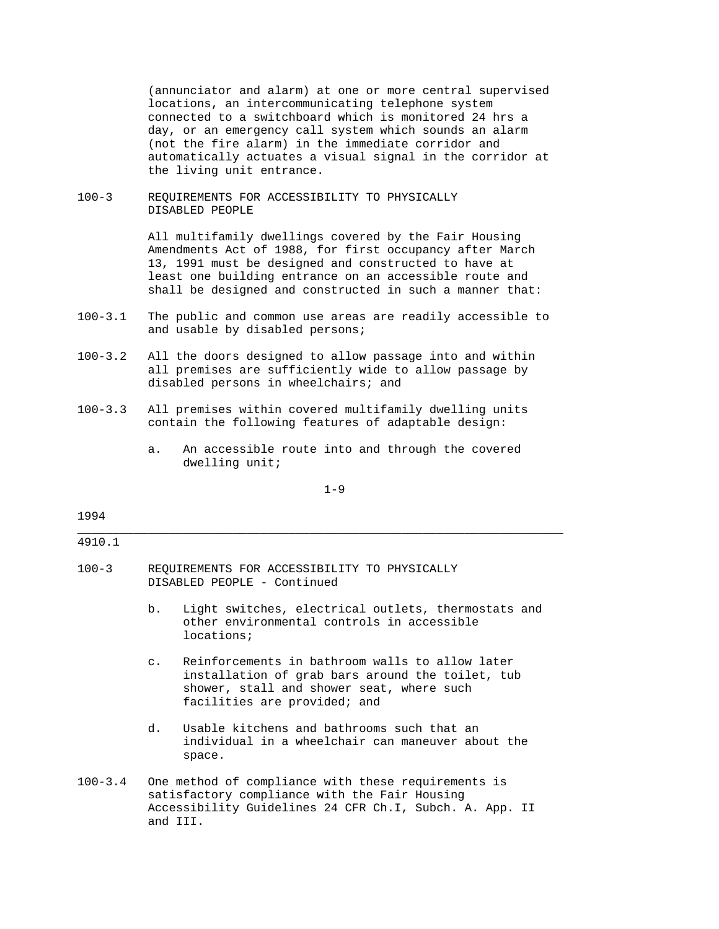(annunciator and alarm) at one or more central supervised locations, an intercommunicating telephone system connected to a switchboard which is monitored 24 hrs a day, or an emergency call system which sounds an alarm (not the fire alarm) in the immediate corridor and automatically actuates a visual signal in the corridor at the living unit entrance.

100-3 REQUIREMENTS FOR ACCESSIBILITY TO PHYSICALLY DISABLED PEOPLE

> All multifamily dwellings covered by the Fair Housing Amendments Act of 1988, for first occupancy after March 13, 1991 must be designed and constructed to have at least one building entrance on an accessible route and shall be designed and constructed in such a manner that:

- 100-3.1 The public and common use areas are readily accessible to and usable by disabled persons;
- 100-3.2 All the doors designed to allow passage into and within all premises are sufficiently wide to allow passage by disabled persons in wheelchairs; and
- 100-3.3 All premises within covered multifamily dwelling units contain the following features of adaptable design:
	- a. An accessible route into and through the covered dwelling unit;

1-9

\_\_\_\_\_\_\_\_\_\_\_\_\_\_\_\_\_\_\_\_\_\_\_\_\_\_\_\_\_\_\_\_\_\_\_\_\_\_\_\_\_\_\_\_\_\_\_\_\_\_\_\_\_\_\_\_\_\_\_\_\_\_\_\_\_\_\_\_\_

# 1994

#### 4910.1

- 100-3 REQUIREMENTS FOR ACCESSIBILITY TO PHYSICALLY DISABLED PEOPLE - Continued
	- b. Light switches, electrical outlets, thermostats and other environmental controls in accessible locations;
	- c. Reinforcements in bathroom walls to allow later installation of grab bars around the toilet, tub shower, stall and shower seat, where such facilities are provided; and
	- d. Usable kitchens and bathrooms such that an individual in a wheelchair can maneuver about the space.
- 100-3.4 One method of compliance with these requirements is satisfactory compliance with the Fair Housing Accessibility Guidelines 24 CFR Ch.I, Subch. A. App. II and III.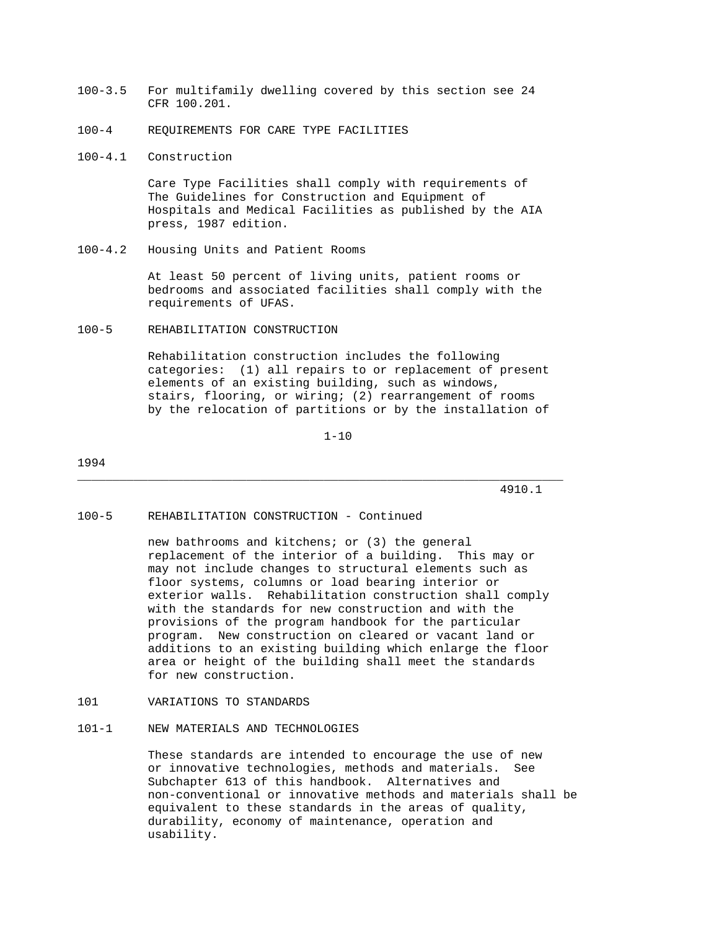- 100-3.5 For multifamily dwelling covered by this section see 24 CFR 100.201.
- 100-4 REQUIREMENTS FOR CARE TYPE FACILITIES
- 100-4.1 Construction

 Care Type Facilities shall comply with requirements of The Guidelines for Construction and Equipment of Hospitals and Medical Facilities as published by the AIA press, 1987 edition.

100-4.2 Housing Units and Patient Rooms

 At least 50 percent of living units, patient rooms or bedrooms and associated facilities shall comply with the requirements of UFAS.

100-5 REHABILITATION CONSTRUCTION

 Rehabilitation construction includes the following categories: (1) all repairs to or replacement of present elements of an existing building, such as windows, stairs, flooring, or wiring; (2) rearrangement of rooms by the relocation of partitions or by the installation of

1-10

\_\_\_\_\_\_\_\_\_\_\_\_\_\_\_\_\_\_\_\_\_\_\_\_\_\_\_\_\_\_\_\_\_\_\_\_\_\_\_\_\_\_\_\_\_\_\_\_\_\_\_\_\_\_\_\_\_\_\_\_\_\_\_\_\_\_\_\_\_

1994

4910.1

#### 100-5 REHABILITATION CONSTRUCTION - Continued

 new bathrooms and kitchens; or (3) the general replacement of the interior of a building. This may or may not include changes to structural elements such as floor systems, columns or load bearing interior or exterior walls. Rehabilitation construction shall comply with the standards for new construction and with the provisions of the program handbook for the particular program. New construction on cleared or vacant land or additions to an existing building which enlarge the floor area or height of the building shall meet the standards for new construction.

101 VARIATIONS TO STANDARDS

# 101-1 NEW MATERIALS AND TECHNOLOGIES

 These standards are intended to encourage the use of new or innovative technologies, methods and materials. See Subchapter 613 of this handbook. Alternatives and non-conventional or innovative methods and materials shall be equivalent to these standards in the areas of quality, durability, economy of maintenance, operation and usability.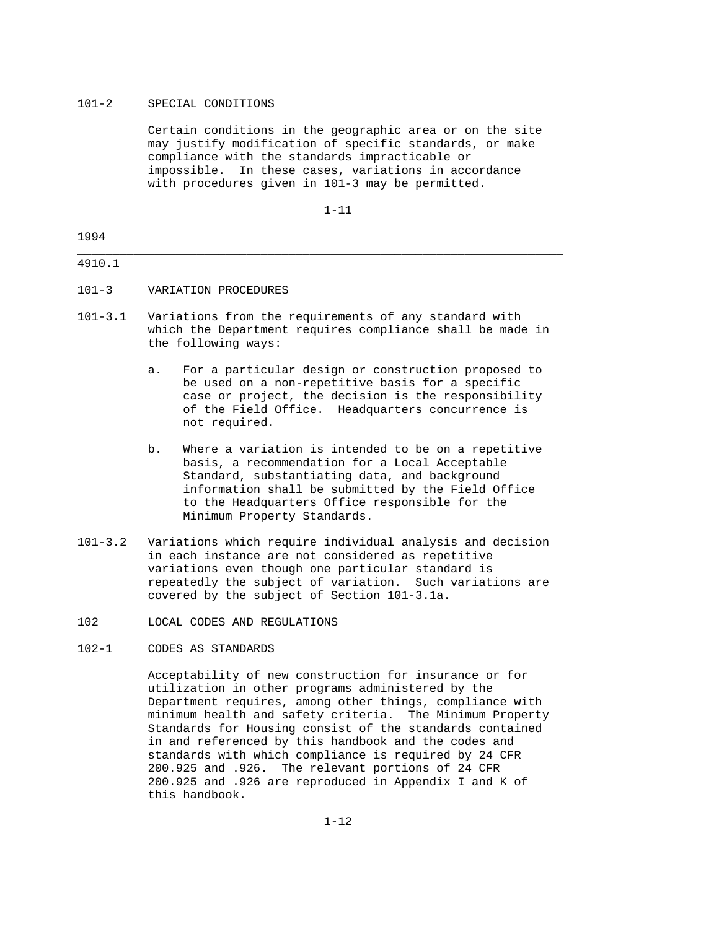# 101-2 SPECIAL CONDITIONS

 Certain conditions in the geographic area or on the site may justify modification of specific standards, or make compliance with the standards impracticable or impossible. In these cases, variations in accordance with procedures given in 101-3 may be permitted.

1-11

# 1994 \_\_\_\_\_\_\_\_\_\_\_\_\_\_\_\_\_\_\_\_\_\_\_\_\_\_\_\_\_\_\_\_\_\_\_\_\_\_\_\_\_\_\_\_\_\_\_\_\_\_\_\_\_\_\_\_\_\_\_\_\_\_\_\_\_\_\_\_\_

# 4910.1

- 101-3 VARIATION PROCEDURES
- 101-3.1 Variations from the requirements of any standard with which the Department requires compliance shall be made in the following ways:
	- a. For a particular design or construction proposed to be used on a non-repetitive basis for a specific case or project, the decision is the responsibility of the Field Office. Headquarters concurrence is not required.
	- b. Where a variation is intended to be on a repetitive basis, a recommendation for a Local Acceptable Standard, substantiating data, and background information shall be submitted by the Field Office to the Headquarters Office responsible for the Minimum Property Standards.
- 101-3.2 Variations which require individual analysis and decision in each instance are not considered as repetitive variations even though one particular standard is repeatedly the subject of variation. Such variations are covered by the subject of Section 101-3.1a.
- 102 LOCAL CODES AND REGULATIONS

### 102-1 CODES AS STANDARDS

 Acceptability of new construction for insurance or for utilization in other programs administered by the Department requires, among other things, compliance with minimum health and safety criteria. The Minimum Property Standards for Housing consist of the standards contained in and referenced by this handbook and the codes and standards with which compliance is required by 24 CFR 200.925 and .926. The relevant portions of 24 CFR 200.925 and .926 are reproduced in Appendix I and K of this handbook.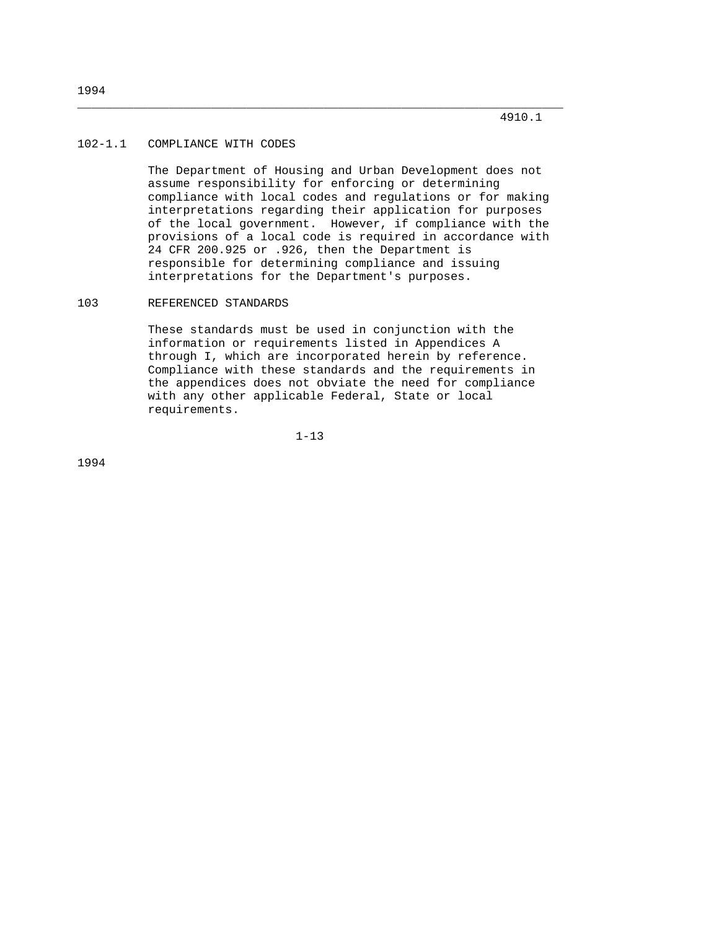# 102-1.1 COMPLIANCE WITH CODES

 The Department of Housing and Urban Development does not assume responsibility for enforcing or determining compliance with local codes and regulations or for making interpretations regarding their application for purposes of the local government. However, if compliance with the provisions of a local code is required in accordance with 24 CFR 200.925 or .926, then the Department is responsible for determining compliance and issuing interpretations for the Department's purposes.

\_\_\_\_\_\_\_\_\_\_\_\_\_\_\_\_\_\_\_\_\_\_\_\_\_\_\_\_\_\_\_\_\_\_\_\_\_\_\_\_\_\_\_\_\_\_\_\_\_\_\_\_\_\_\_\_\_\_\_\_\_\_\_\_\_\_\_\_\_

#### 103 REFERENCED STANDARDS

 These standards must be used in conjunction with the information or requirements listed in Appendices A through I, which are incorporated herein by reference. Compliance with these standards and the requirements in the appendices does not obviate the need for compliance with any other applicable Federal, State or local requirements.

1-13

1994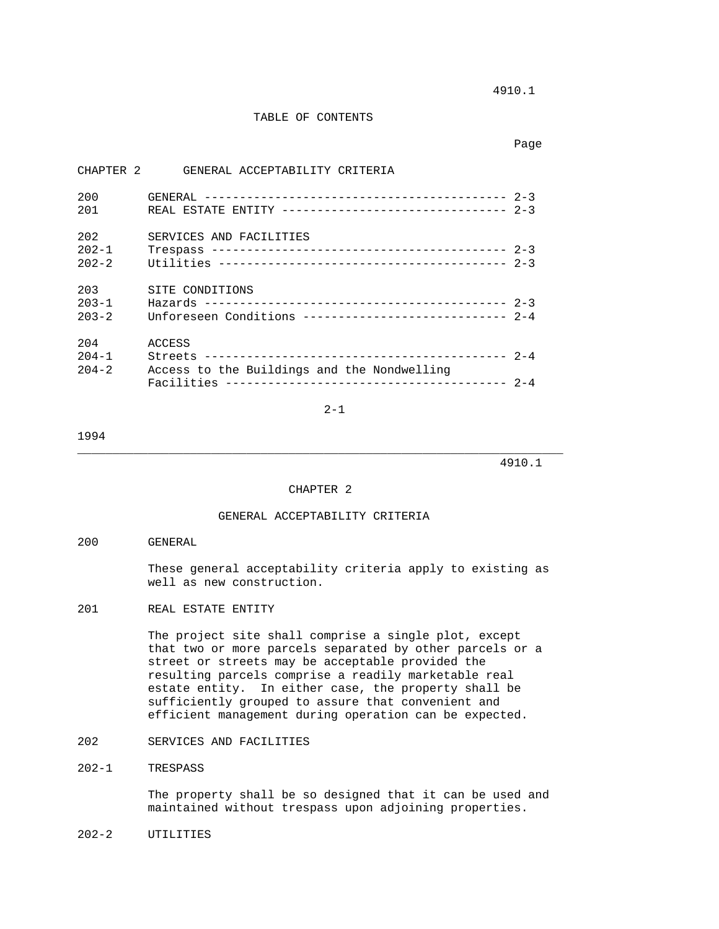4910.1

### TABLE OF CONTENTS

CHAPTER 2 GENERAL ACCEPTABILITY CRITERIA

page to the control of the control of the control of the control of the control of the control of the control of the control of the control of the control of the control of the control of the control of the control of the

| 200       |                                                        |  |
|-----------|--------------------------------------------------------|--|
| 201       |                                                        |  |
| 202       | SERVICES AND FACILITIES                                |  |
| $202 - 1$ |                                                        |  |
|           |                                                        |  |
| $202 - 2$ |                                                        |  |
| 203       | SITE CONDITIONS                                        |  |
| $203 - 1$ |                                                        |  |
| $203 - 2$ | Unforeseen Conditions ---------------------------- 2-4 |  |
|           |                                                        |  |
| 204       | ACCESS                                                 |  |
| $204 - 1$ |                                                        |  |
| $204 - 2$ | Access to the Buildings and the Nondwelling            |  |
|           |                                                        |  |

2-1

#### 1994

4910.1

#### CHAPTER 2

\_\_\_\_\_\_\_\_\_\_\_\_\_\_\_\_\_\_\_\_\_\_\_\_\_\_\_\_\_\_\_\_\_\_\_\_\_\_\_\_\_\_\_\_\_\_\_\_\_\_\_\_\_\_\_\_\_\_\_\_\_\_\_\_\_\_\_\_\_

### GENERAL ACCEPTABILITY CRITERIA

#### 200 GENERAL

 These general acceptability criteria apply to existing as well as new construction.

# 201 REAL ESTATE ENTITY

 The project site shall comprise a single plot, except that two or more parcels separated by other parcels or a street or streets may be acceptable provided the resulting parcels comprise a readily marketable real estate entity. In either case, the property shall be sufficiently grouped to assure that convenient and efficient management during operation can be expected.

# 202 SERVICES AND FACILITIES

### 202-1 TRESPASS

 The property shall be so designed that it can be used and maintained without trespass upon adjoining properties.

### 202-2 UTILITIES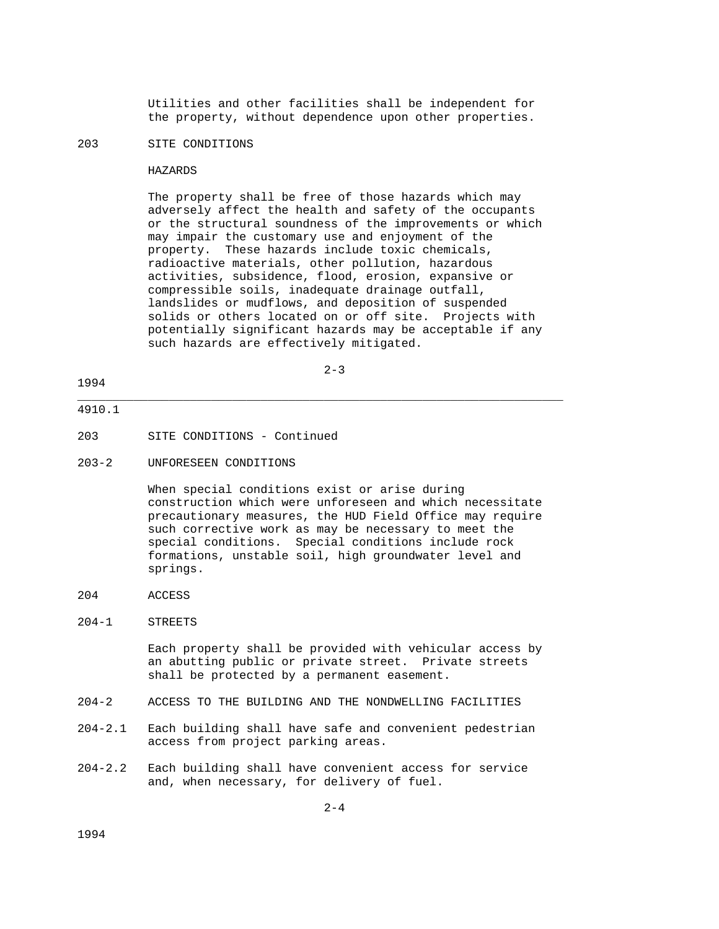Utilities and other facilities shall be independent for the property, without dependence upon other properties.

### 203 SITE CONDITIONS

#### HAZARDS

 The property shall be free of those hazards which may adversely affect the health and safety of the occupants or the structural soundness of the improvements or which may impair the customary use and enjoyment of the property. These hazards include toxic chemicals, radioactive materials, other pollution, hazardous activities, subsidence, flood, erosion, expansive or compressible soils, inadequate drainage outfall, landslides or mudflows, and deposition of suspended solids or others located on or off site. Projects with potentially significant hazards may be acceptable if any such hazards are effectively mitigated.

2-3

\_\_\_\_\_\_\_\_\_\_\_\_\_\_\_\_\_\_\_\_\_\_\_\_\_\_\_\_\_\_\_\_\_\_\_\_\_\_\_\_\_\_\_\_\_\_\_\_\_\_\_\_\_\_\_\_\_\_\_\_\_\_\_\_\_\_\_\_\_

### 1994

# 4910.1

- 203 SITE CONDITIONS Continued
- 203-2 UNFORESEEN CONDITIONS

 When special conditions exist or arise during construction which were unforeseen and which necessitate precautionary measures, the HUD Field Office may require such corrective work as may be necessary to meet the special conditions. Special conditions include rock formations, unstable soil, high groundwater level and springs.

204 ACCESS

### 204-1 STREETS

 Each property shall be provided with vehicular access by an abutting public or private street. Private streets shall be protected by a permanent easement.

- 204-2 ACCESS TO THE BUILDING AND THE NONDWELLING FACILITIES
- 204-2.1 Each building shall have safe and convenient pedestrian access from project parking areas.
- 204-2.2 Each building shall have convenient access for service and, when necessary, for delivery of fuel.

1994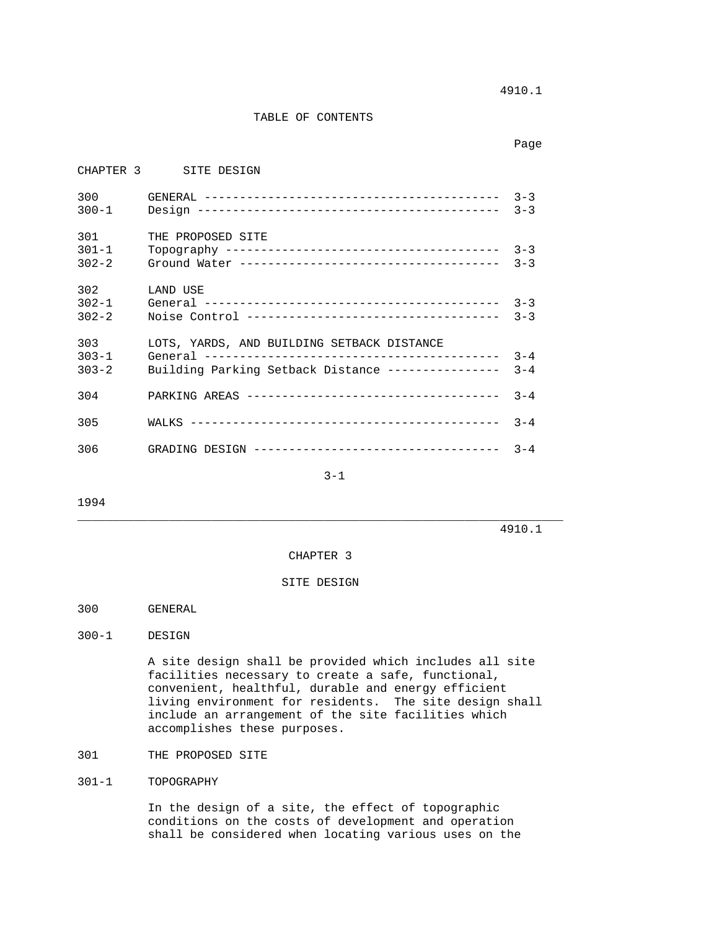4910.1

### TABLE OF CONTENTS

page to the control of the control of the control of the control of the control of the control of the control of the control of the control of the control of the control of the control of the control of the control of the

|                               | CHAPTER 3 SITE DESIGN                                                                            |                    |
|-------------------------------|--------------------------------------------------------------------------------------------------|--------------------|
| 300 000<br>$300 - 1$          |                                                                                                  | $3 - 3$<br>$3 - 3$ |
| 301<br>$301 - 1$<br>$302 - 2$ | THE PROPOSED SITE                                                                                | $3 - 3$<br>$3 - 3$ |
| 302<br>$302 - 1$<br>$302 - 2$ | LAND USE                                                                                         | $3 - 3$<br>$3 - 3$ |
| 303<br>$303 - 1$<br>$303 - 2$ | LOTS, YARDS, AND BUILDING SETBACK DISTANCE<br>Building Parking Setback Distance ---------------- | $3 - 4$<br>$3 - 4$ |
| 304                           |                                                                                                  | $3 - 4$            |
| 305                           |                                                                                                  | $3 - 4$            |
| 306                           |                                                                                                  | $3 - 4$            |

3-1

1994

4910.1

### CHAPTER 3

\_\_\_\_\_\_\_\_\_\_\_\_\_\_\_\_\_\_\_\_\_\_\_\_\_\_\_\_\_\_\_\_\_\_\_\_\_\_\_\_\_\_\_\_\_\_\_\_\_\_\_\_\_\_\_\_\_\_\_\_\_\_\_\_\_\_\_\_\_

### SITE DESIGN

- 300 GENERAL
- 300-1 DESIGN

 A site design shall be provided which includes all site facilities necessary to create a safe, functional, convenient, healthful, durable and energy efficient living environment for residents. The site design shall include an arrangement of the site facilities which accomplishes these purposes.

# 301 THE PROPOSED SITE

# 301-1 TOPOGRAPHY

 In the design of a site, the effect of topographic conditions on the costs of development and operation shall be considered when locating various uses on the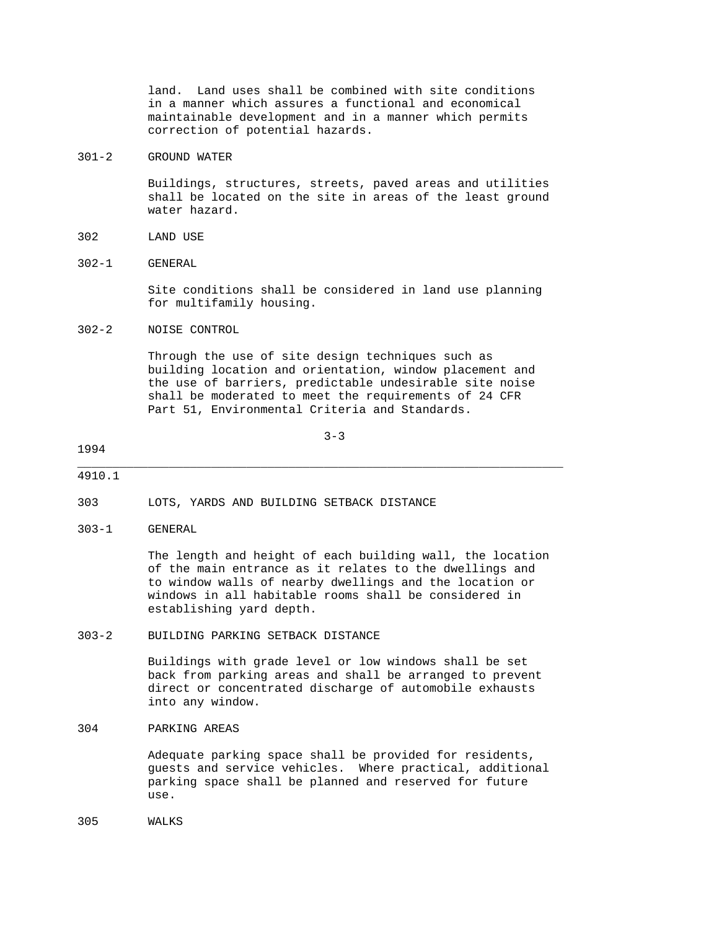land. Land uses shall be combined with site conditions in a manner which assures a functional and economical maintainable development and in a manner which permits correction of potential hazards.

301-2 GROUND WATER

 Buildings, structures, streets, paved areas and utilities shall be located on the site in areas of the least ground water hazard.

- 302 LAND USE
- 302-1 GENERAL

 Site conditions shall be considered in land use planning for multifamily housing.

302-2 NOISE CONTROL

 Through the use of site design techniques such as building location and orientation, window placement and the use of barriers, predictable undesirable site noise shall be moderated to meet the requirements of 24 CFR Part 51, Environmental Criteria and Standards.

 $3-3$ 

\_\_\_\_\_\_\_\_\_\_\_\_\_\_\_\_\_\_\_\_\_\_\_\_\_\_\_\_\_\_\_\_\_\_\_\_\_\_\_\_\_\_\_\_\_\_\_\_\_\_\_\_\_\_\_\_\_\_\_\_\_\_\_\_\_\_\_\_\_

#### 1994

#### 4910.1

303 LOTS, YARDS AND BUILDING SETBACK DISTANCE

303-1 GENERAL

 The length and height of each building wall, the location of the main entrance as it relates to the dwellings and to window walls of nearby dwellings and the location or windows in all habitable rooms shall be considered in establishing yard depth.

### 303-2 BUILDING PARKING SETBACK DISTANCE

 Buildings with grade level or low windows shall be set back from parking areas and shall be arranged to prevent direct or concentrated discharge of automobile exhausts into any window.

304 PARKING AREAS

 Adequate parking space shall be provided for residents, guests and service vehicles. Where practical, additional parking space shall be planned and reserved for future use.

305 WALKS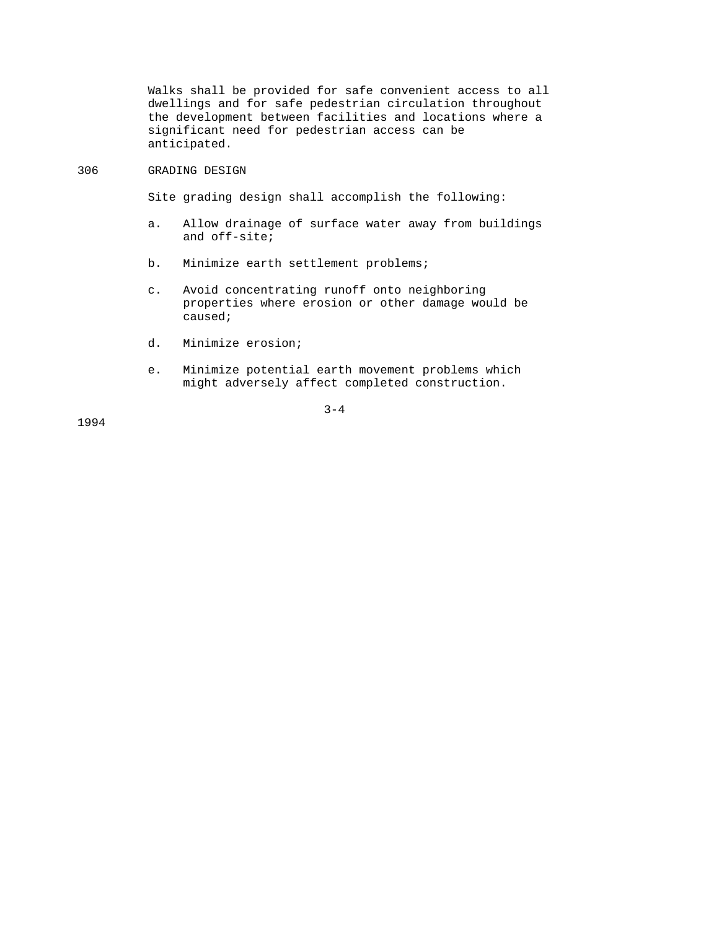Walks shall be provided for safe convenient access to all dwellings and for safe pedestrian circulation throughout the development between facilities and locations where a significant need for pedestrian access can be anticipated.

#### 306 GRADING DESIGN

Site grading design shall accomplish the following:

- a. Allow drainage of surface water away from buildings and off-site;
- b. Minimize earth settlement problems;
- c. Avoid concentrating runoff onto neighboring properties where erosion or other damage would be caused;
- d. Minimize erosion;
- e. Minimize potential earth movement problems which might adversely affect completed construction.

 $3-4$ 

1994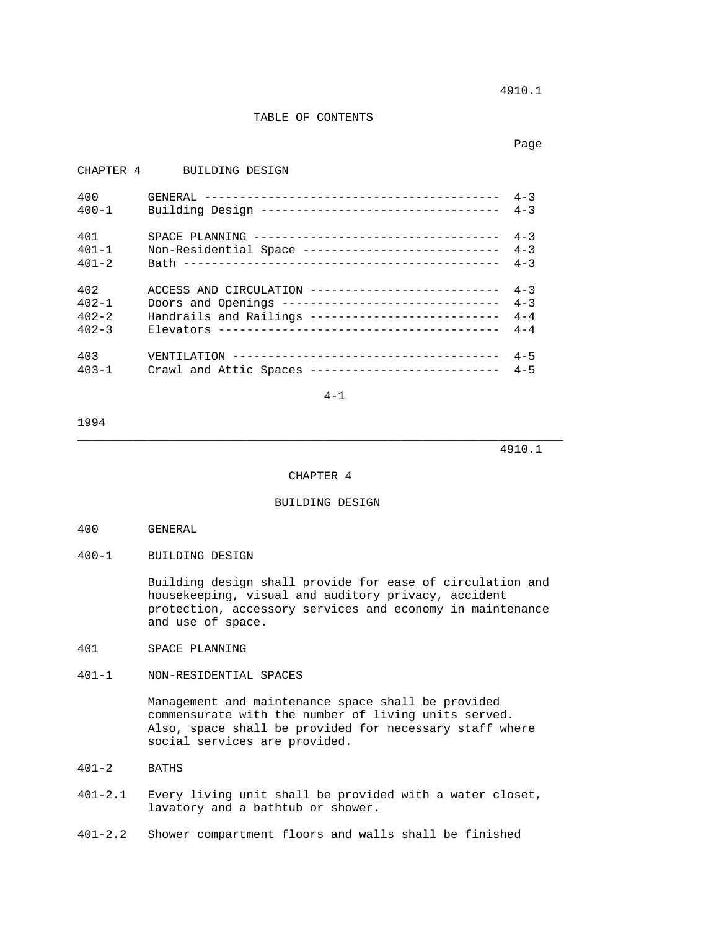4910.1

#### TABLE OF CONTENTS

page to the control of the control of the control of the control of the control of the control of the control of the control of the control of the control of the control of the control of the control of the control of the

# CHAPTER 4 BUILDING DESIGN 400 GENERAL ------------------------------------------ 4-3 400-1 Building Design ---------------------------------- 4-3 401 SPACE PLANNING ----------------------------------- 4-3 401-1 Non-Residential Space ---------------------------- 4-3 401-2 Bath --------------------------------------------- 4-3 402 ACCESS AND CIRCULATION --------------------------- 4-3 402-1 Doors and Openings ------------------------------- 4-3 402-2 Handrails and Railings --------------------------- 4-4 402-3 Elevators ---------------------------------------- 4-4 403 VENTILATION -------------------------------------- 4-5 403-1 Crawl and Attic Spaces --------------------------- 4-5

4-1

1994

#### 4910.1

#### CHAPTER 4

\_\_\_\_\_\_\_\_\_\_\_\_\_\_\_\_\_\_\_\_\_\_\_\_\_\_\_\_\_\_\_\_\_\_\_\_\_\_\_\_\_\_\_\_\_\_\_\_\_\_\_\_\_\_\_\_\_\_\_\_\_\_\_\_\_\_\_\_\_

# BUILDING DESIGN

- 400 GENERAL
- 400-1 BUILDING DESIGN

 Building design shall provide for ease of circulation and housekeeping, visual and auditory privacy, accident protection, accessory services and economy in maintenance and use of space.

- 401 SPACE PLANNING
- 401-1 NON-RESIDENTIAL SPACES

 Management and maintenance space shall be provided commensurate with the number of living units served. Also, space shall be provided for necessary staff where social services are provided.

- 401-2 BATHS
- 401-2.1 Every living unit shall be provided with a water closet, lavatory and a bathtub or shower.

401-2.2 Shower compartment floors and walls shall be finished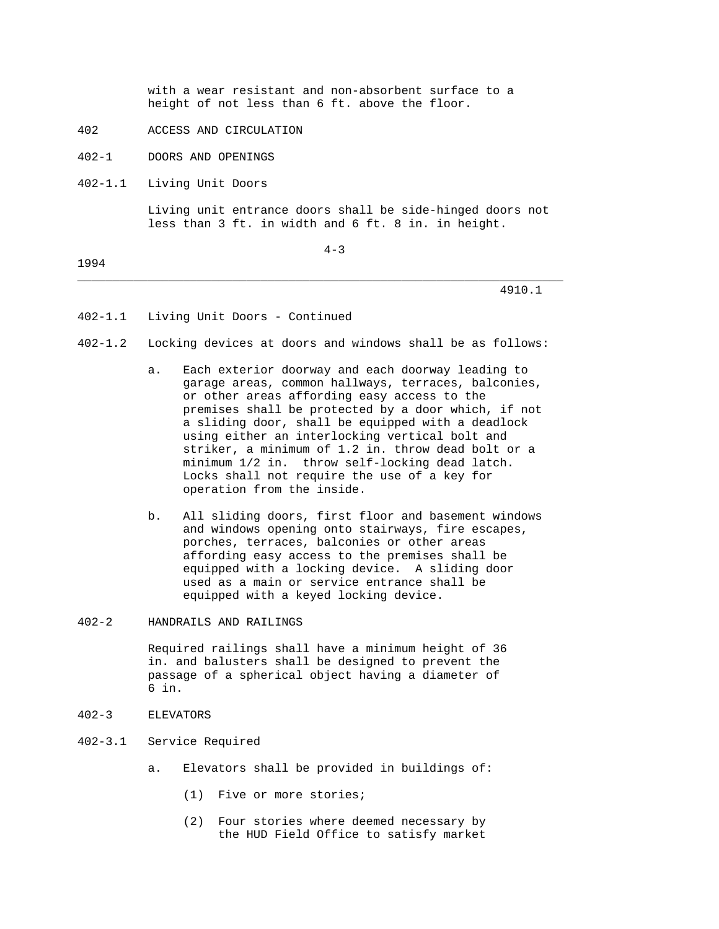with a wear resistant and non-absorbent surface to a height of not less than 6 ft. above the floor.

- 402 ACCESS AND CIRCULATION
- 402-1 DOORS AND OPENINGS

402-1.1 Living Unit Doors

 Living unit entrance doors shall be side-hinged doors not less than 3 ft. in width and 6 ft. 8 in. in height.

1994

 $4-3$ 

\_\_\_\_\_\_\_\_\_\_\_\_\_\_\_\_\_\_\_\_\_\_\_\_\_\_\_\_\_\_\_\_\_\_\_\_\_\_\_\_\_\_\_\_\_\_\_\_\_\_\_\_\_\_\_\_\_\_\_\_\_\_\_\_\_\_\_\_\_

#### 4910.1

- 402-1.1 Living Unit Doors Continued
- 402-1.2 Locking devices at doors and windows shall be as follows:
	- a. Each exterior doorway and each doorway leading to garage areas, common hallways, terraces, balconies, or other areas affording easy access to the premises shall be protected by a door which, if not a sliding door, shall be equipped with a deadlock using either an interlocking vertical bolt and striker, a minimum of 1.2 in. throw dead bolt or a minimum 1/2 in. throw self-locking dead latch. Locks shall not require the use of a key for operation from the inside.
	- b. All sliding doors, first floor and basement windows and windows opening onto stairways, fire escapes, porches, terraces, balconies or other areas affording easy access to the premises shall be equipped with a locking device. A sliding door used as a main or service entrance shall be equipped with a keyed locking device.
- 402-2 HANDRAILS AND RAILINGS

 Required railings shall have a minimum height of 36 in. and balusters shall be designed to prevent the passage of a spherical object having a diameter of 6 in.

- 402-3 ELEVATORS
- 402-3.1 Service Required
	- a. Elevators shall be provided in buildings of:
		- (1) Five or more stories;
		- (2) Four stories where deemed necessary by the HUD Field Office to satisfy market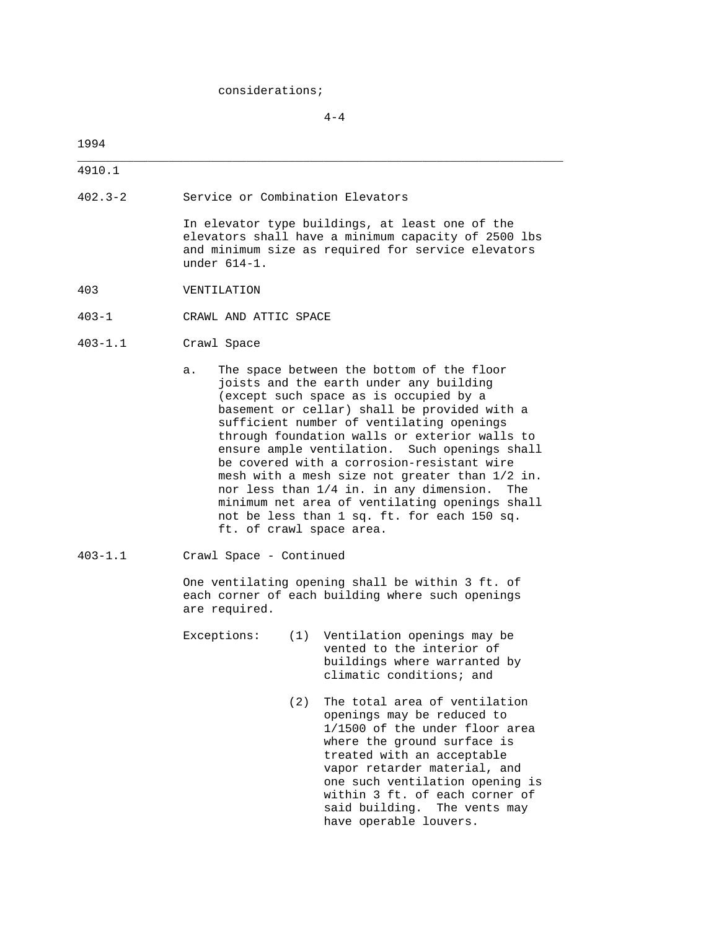considerations;

 $4-4$ 

\_\_\_\_\_\_\_\_\_\_\_\_\_\_\_\_\_\_\_\_\_\_\_\_\_\_\_\_\_\_\_\_\_\_\_\_\_\_\_\_\_\_\_\_\_\_\_\_\_\_\_\_\_\_\_\_\_\_\_\_\_\_\_\_\_\_\_\_\_

### 1994

4910.1

402.3-2 Service or Combination Elevators

 In elevator type buildings, at least one of the elevators shall have a minimum capacity of 2500 lbs and minimum size as required for service elevators under 614-1.

- 403 VENTILATION
- 403-1 CRAWL AND ATTIC SPACE
- 403-1.1 Crawl Space
	- a. The space between the bottom of the floor joists and the earth under any building (except such space as is occupied by a basement or cellar) shall be provided with a sufficient number of ventilating openings through foundation walls or exterior walls to ensure ample ventilation. Such openings shall be covered with a corrosion-resistant wire mesh with a mesh size not greater than 1/2 in. nor less than 1/4 in. in any dimension. The minimum net area of ventilating openings shall not be less than 1 sq. ft. for each 150 sq. ft. of crawl space area.
- 403-1.1 Crawl Space Continued

 One ventilating opening shall be within 3 ft. of each corner of each building where such openings are required.

 Exceptions: (1) Ventilation openings may be vented to the interior of buildings where warranted by climatic conditions; and

> (2) The total area of ventilation openings may be reduced to 1/1500 of the under floor area where the ground surface is treated with an acceptable vapor retarder material, and one such ventilation opening is within 3 ft. of each corner of said building. The vents may have operable louvers.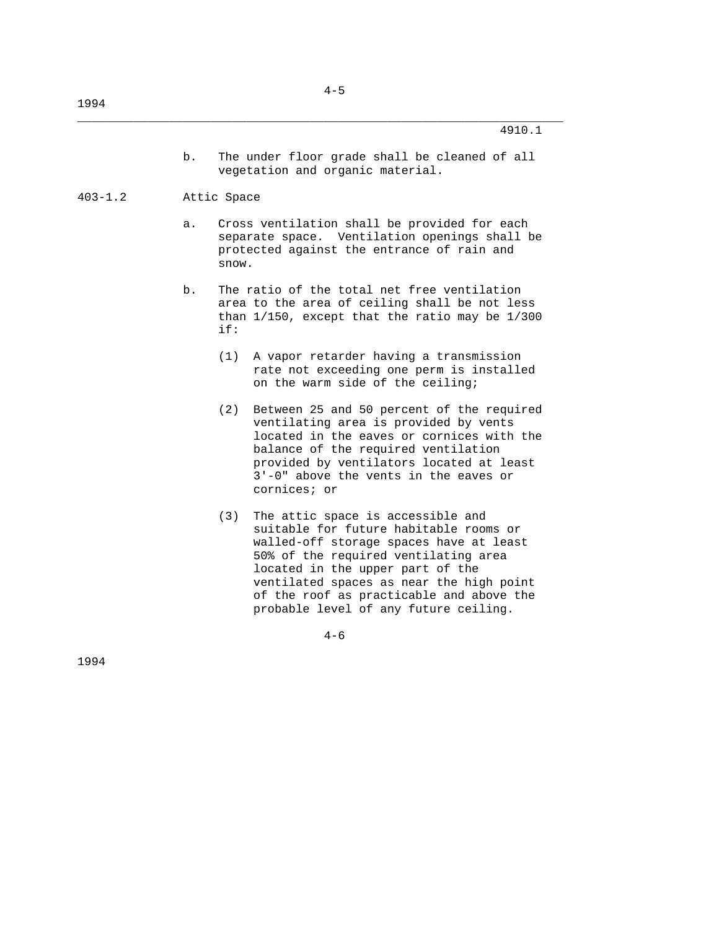\_\_\_\_\_\_\_\_\_\_\_\_\_\_\_\_\_\_\_\_\_\_\_\_\_\_\_\_\_\_\_\_\_\_\_\_\_\_\_\_\_\_\_\_\_\_\_\_\_\_\_\_\_\_\_\_\_\_\_\_\_\_\_\_\_\_\_\_\_

 b. The under floor grade shall be cleaned of all vegetation and organic material.

### 403-1.2 Attic Space

- a. Cross ventilation shall be provided for each separate space. Ventilation openings shall be protected against the entrance of rain and snow.
- b. The ratio of the total net free ventilation area to the area of ceiling shall be not less than 1/150, except that the ratio may be 1/300 if:
	- (1) A vapor retarder having a transmission rate not exceeding one perm is installed on the warm side of the ceiling;
	- (2) Between 25 and 50 percent of the required ventilating area is provided by vents located in the eaves or cornices with the balance of the required ventilation provided by ventilators located at least 3'-0" above the vents in the eaves or cornices; or
	- (3) The attic space is accessible and suitable for future habitable rooms or walled-off storage spaces have at least 50% of the required ventilating area located in the upper part of the ventilated spaces as near the high point of the roof as practicable and above the probable level of any future ceiling.

 $4-6$ 

1994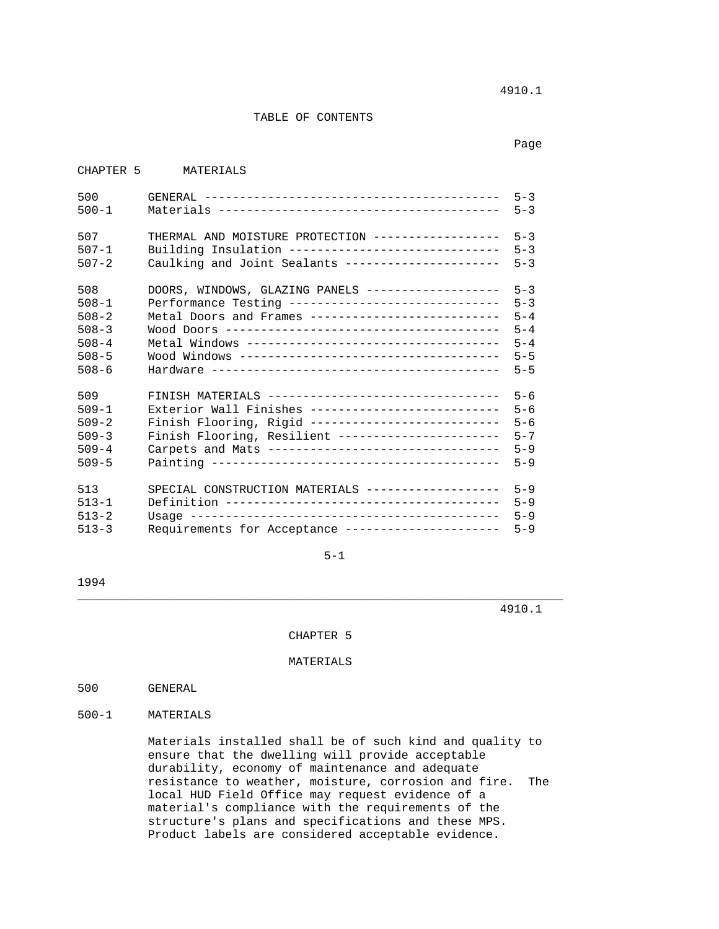4910.1

### TABLE OF CONTENTS

not a control of the control of the control of the control of the control of the control of the control of the control of the control of the control of the control of the control of the control of the control of the contro

| CHAPTER <sub>5</sub> | MATERIALS                                          |         |
|----------------------|----------------------------------------------------|---------|
| 500                  |                                                    | $5 - 3$ |
| $500 - 1$            |                                                    | $5 - 3$ |
| 507                  | THERMAL AND MOISTURE PROTECTION -----------------  | $5 - 3$ |
| $507 - 1$            | Building Insulation -----------------------------  | $5 - 3$ |
| $507 - 2$            | Caulking and Joint Sealants ---------------------  | $5 - 3$ |
| 508                  | DOORS, WINDOWS, GLAZING PANELS ------------------- | $5 - 3$ |
| $508 - 1$            | Performance Testing ------------------------------ | $5 - 3$ |
| $508 - 2$            | Metal Doors and Frames --------------------------- | $5 - 4$ |
| $508 - 3$            |                                                    | $5 - 4$ |
| $508 - 4$            |                                                    | $5 - 4$ |
| $508 - 5$            |                                                    | $5 - 5$ |
| $508 - 6$            |                                                    | $5 - 5$ |
| 509                  | FINISH MATERIALS --------------------------------- | $5 - 6$ |
| $509 - 1$            | Exterior Wall Finishes --------------------------- | $5 - 6$ |
| $509 - 2$            | Finish Flooring, Rigid --------------------------- | $5 - 6$ |
| $509 - 3$            | Finish Flooring, Resilient ----------------------  | $5 - 7$ |
| $509 - 4$            | Carpets and Mats --------------------------------  | $5 - 9$ |
| $509 - 5$            |                                                    | $5 - 9$ |
| 513                  | SPECIAL CONSTRUCTION MATERIALS ------------------- | $5 - 9$ |
| $513 - 1$            |                                                    | $5 - 9$ |
| $513 - 2$            |                                                    | $5 - 9$ |
| $513 - 3$            | Requirements for Acceptance ---------------------  | $5 - 9$ |

 $5-1$ 

1994

4910.1

CHAPTER 5

\_\_\_\_\_\_\_\_\_\_\_\_\_\_\_\_\_\_\_\_\_\_\_\_\_\_\_\_\_\_\_\_\_\_\_\_\_\_\_\_\_\_\_\_\_\_\_\_\_\_\_\_\_\_\_\_\_\_\_\_\_\_\_\_\_\_\_\_\_

MATERIALS

500 GENERAL

500-1 MATERIALS

 Materials installed shall be of such kind and quality to ensure that the dwelling will provide acceptable durability, economy of maintenance and adequate resistance to weather, moisture, corrosion and fire. The local HUD Field Office may request evidence of a material's compliance with the requirements of the structure's plans and specifications and these MPS. Product labels are considered acceptable evidence.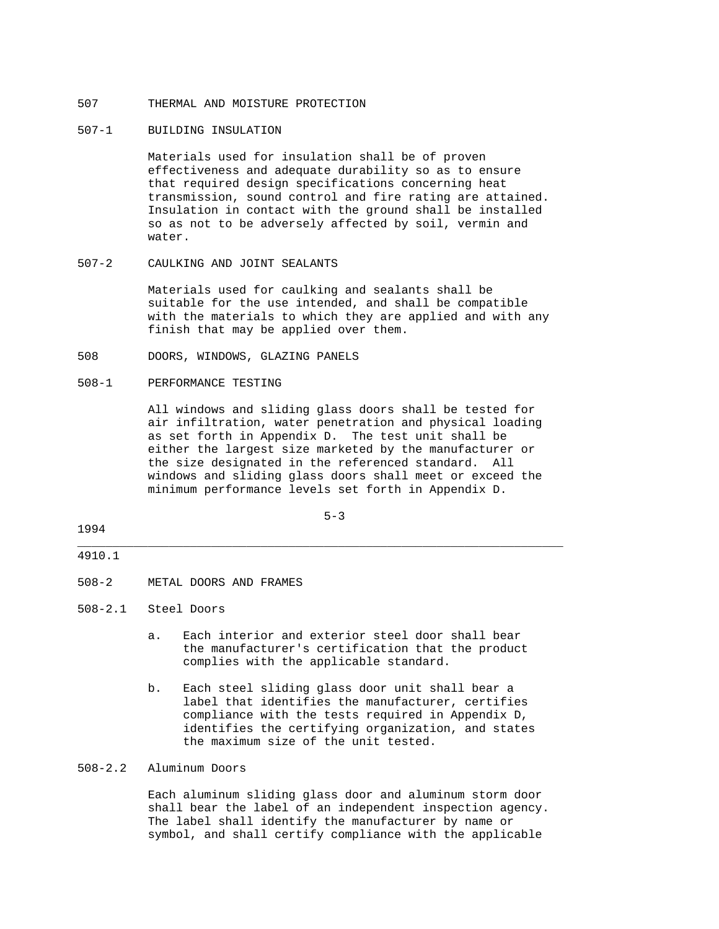# 507 THERMAL AND MOISTURE PROTECTION

#### 507-1 BUILDING INSULATION

 Materials used for insulation shall be of proven effectiveness and adequate durability so as to ensure that required design specifications concerning heat transmission, sound control and fire rating are attained. Insulation in contact with the ground shall be installed so as not to be adversely affected by soil, vermin and water.

### 507-2 CAULKING AND JOINT SEALANTS

 Materials used for caulking and sealants shall be suitable for the use intended, and shall be compatible with the materials to which they are applied and with any finish that may be applied over them.

508 DOORS, WINDOWS, GLAZING PANELS

#### 508-1 PERFORMANCE TESTING

 All windows and sliding glass doors shall be tested for air infiltration, water penetration and physical loading as set forth in Appendix D. The test unit shall be either the largest size marketed by the manufacturer or the size designated in the referenced standard. All windows and sliding glass doors shall meet or exceed the minimum performance levels set forth in Appendix D.

 $5-3$ 

\_\_\_\_\_\_\_\_\_\_\_\_\_\_\_\_\_\_\_\_\_\_\_\_\_\_\_\_\_\_\_\_\_\_\_\_\_\_\_\_\_\_\_\_\_\_\_\_\_\_\_\_\_\_\_\_\_\_\_\_\_\_\_\_\_\_\_\_\_

### 1994

#### 4910.1

508-2 METAL DOORS AND FRAMES

508-2.1 Steel Doors

- a. Each interior and exterior steel door shall bear the manufacturer's certification that the product complies with the applicable standard.
- b. Each steel sliding glass door unit shall bear a label that identifies the manufacturer, certifies compliance with the tests required in Appendix D, identifies the certifying organization, and states the maximum size of the unit tested.

### 508-2.2 Aluminum Doors

 Each aluminum sliding glass door and aluminum storm door shall bear the label of an independent inspection agency. The label shall identify the manufacturer by name or symbol, and shall certify compliance with the applicable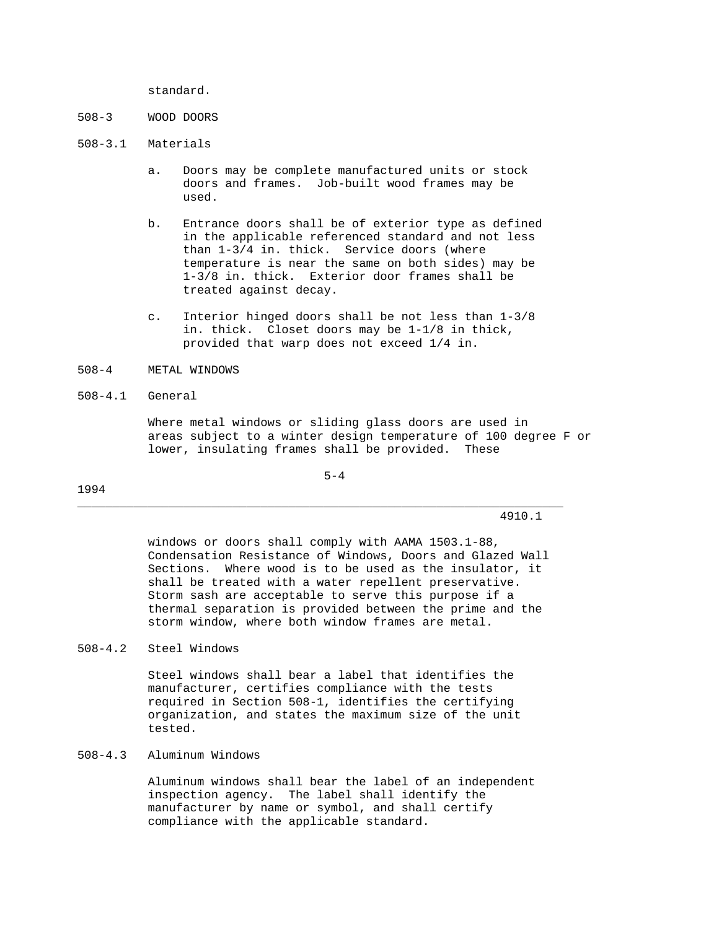standard.

- 508-3 WOOD DOORS
- 508-3.1 Materials
	- a. Doors may be complete manufactured units or stock doors and frames. Job-built wood frames may be used.
	- b. Entrance doors shall be of exterior type as defined in the applicable referenced standard and not less than 1-3/4 in. thick. Service doors (where temperature is near the same on both sides) may be 1-3/8 in. thick. Exterior door frames shall be treated against decay.
	- c. Interior hinged doors shall be not less than 1-3/8 in. thick. Closet doors may be 1-1/8 in thick, provided that warp does not exceed 1/4 in.

#### 508-4 METAL WINDOWS

#### 508-4.1 General

 Where metal windows or sliding glass doors are used in areas subject to a winter design temperature of 100 degree F or lower, insulating frames shall be provided. These

 $5-4$ 

\_\_\_\_\_\_\_\_\_\_\_\_\_\_\_\_\_\_\_\_\_\_\_\_\_\_\_\_\_\_\_\_\_\_\_\_\_\_\_\_\_\_\_\_\_\_\_\_\_\_\_\_\_\_\_\_\_\_\_\_\_\_\_\_\_\_\_\_\_

4910.1

 windows or doors shall comply with AAMA 1503.1-88, Condensation Resistance of Windows, Doors and Glazed Wall Sections. Where wood is to be used as the insulator, it shall be treated with a water repellent preservative. Storm sash are acceptable to serve this purpose if a thermal separation is provided between the prime and the storm window, where both window frames are metal.

### 508-4.2 Steel Windows

 Steel windows shall bear a label that identifies the manufacturer, certifies compliance with the tests required in Section 508-1, identifies the certifying organization, and states the maximum size of the unit tested.

### 508-4.3 Aluminum Windows

 Aluminum windows shall bear the label of an independent inspection agency. The label shall identify the manufacturer by name or symbol, and shall certify compliance with the applicable standard.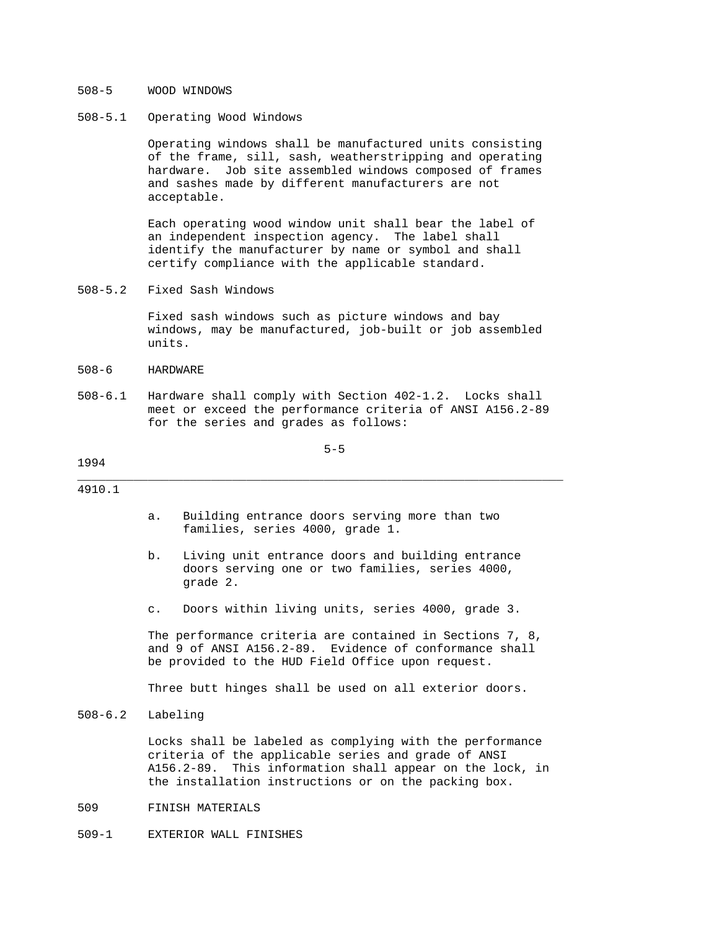### 508-5 WOOD WINDOWS

### 508-5.1 Operating Wood Windows

 Operating windows shall be manufactured units consisting of the frame, sill, sash, weatherstripping and operating hardware. Job site assembled windows composed of frames and sashes made by different manufacturers are not acceptable.

 Each operating wood window unit shall bear the label of an independent inspection agency. The label shall identify the manufacturer by name or symbol and shall certify compliance with the applicable standard.

508-5.2 Fixed Sash Windows

 Fixed sash windows such as picture windows and bay windows, may be manufactured, job-built or job assembled units.

- 508-6 HARDWARE
- 508-6.1 Hardware shall comply with Section 402-1.2. Locks shall meet or exceed the performance criteria of ANSI A156.2-89 for the series and grades as follows:

 $5-5$ 

### 1994

4910.1

 a. Building entrance doors serving more than two families, series 4000, grade 1.

\_\_\_\_\_\_\_\_\_\_\_\_\_\_\_\_\_\_\_\_\_\_\_\_\_\_\_\_\_\_\_\_\_\_\_\_\_\_\_\_\_\_\_\_\_\_\_\_\_\_\_\_\_\_\_\_\_\_\_\_\_\_\_\_\_\_\_\_\_

- b. Living unit entrance doors and building entrance doors serving one or two families, series 4000, grade 2.
- c. Doors within living units, series 4000, grade 3.

 The performance criteria are contained in Sections 7, 8, and 9 of ANSI A156.2-89. Evidence of conformance shall be provided to the HUD Field Office upon request.

Three butt hinges shall be used on all exterior doors.

508-6.2 Labeling

 Locks shall be labeled as complying with the performance criteria of the applicable series and grade of ANSI A156.2-89. This information shall appear on the lock, in the installation instructions or on the packing box.

- 509 FINISH MATERIALS
- 509-1 EXTERIOR WALL FINISHES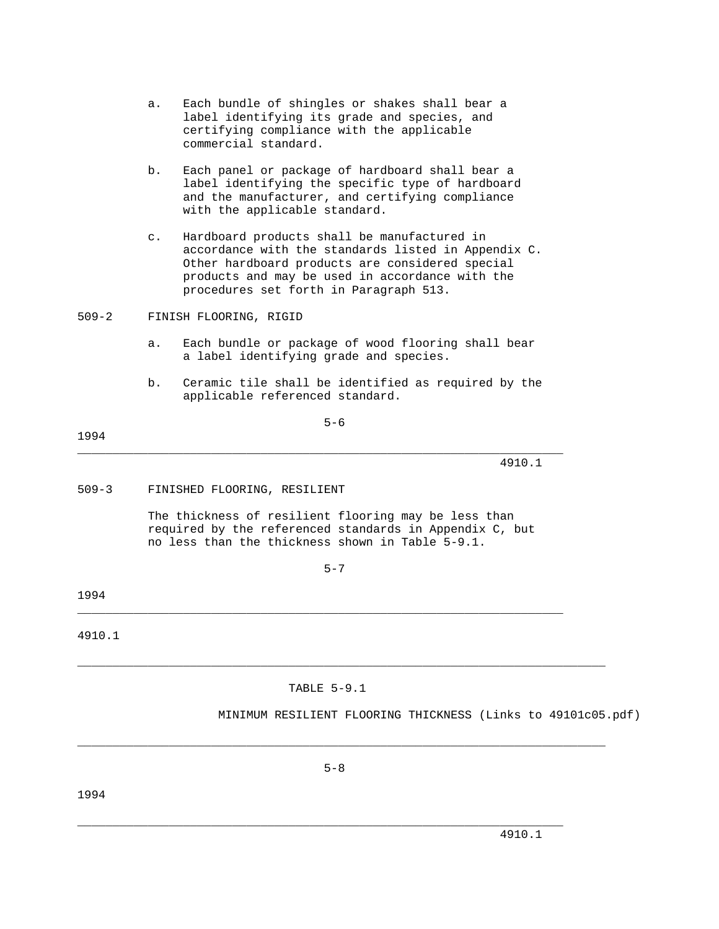- a. Each bundle of shingles or shakes shall bear a label identifying its grade and species, and certifying compliance with the applicable commercial standard.
- b. Each panel or package of hardboard shall bear a label identifying the specific type of hardboard and the manufacturer, and certifying compliance with the applicable standard.
- c. Hardboard products shall be manufactured in accordance with the standards listed in Appendix C. Other hardboard products are considered special products and may be used in accordance with the procedures set forth in Paragraph 513.
- 509-2 FINISH FLOORING, RIGID
	- a. Each bundle or package of wood flooring shall bear a label identifying grade and species.
	- b. Ceramic tile shall be identified as required by the applicable referenced standard.

 $5-6$ 

### 1994

\_\_\_\_\_\_\_\_\_\_\_\_\_\_\_\_\_\_\_\_\_\_\_\_\_\_\_\_\_\_\_\_\_\_\_\_\_\_\_\_\_\_\_\_\_\_\_\_\_\_\_\_\_\_\_\_\_\_\_\_\_\_\_\_\_\_\_\_\_ 4910.1

509-3 FINISHED FLOORING, RESILIENT

 The thickness of resilient flooring may be less than required by the referenced standards in Appendix C, but no less than the thickness shown in Table 5-9.1.

 $5-7$ 

1994

4910.1

TABLE 5-9.1

\_\_\_\_\_\_\_\_\_\_\_\_\_\_\_\_\_\_\_\_\_\_\_\_\_\_\_\_\_\_\_\_\_\_\_\_\_\_\_\_\_\_\_\_\_\_\_\_\_\_\_\_\_\_\_\_\_\_\_\_\_\_\_\_\_\_\_\_\_\_\_\_\_\_\_

\_\_\_\_\_\_\_\_\_\_\_\_\_\_\_\_\_\_\_\_\_\_\_\_\_\_\_\_\_\_\_\_\_\_\_\_\_\_\_\_\_\_\_\_\_\_\_\_\_\_\_\_\_\_\_\_\_\_\_\_\_\_\_\_\_\_\_\_\_

MINIMUM RESILIENT FLOORING THICKNESS (Links to 49101c05.pdf)

\_\_\_\_\_\_\_\_\_\_\_\_\_\_\_\_\_\_\_\_\_\_\_\_\_\_\_\_\_\_\_\_\_\_\_\_\_\_\_\_\_\_\_\_\_\_\_\_\_\_\_\_\_\_\_\_\_\_\_\_\_\_\_\_\_\_\_\_\_

\_\_\_\_\_\_\_\_\_\_\_\_\_\_\_\_\_\_\_\_\_\_\_\_\_\_\_\_\_\_\_\_\_\_\_\_\_\_\_\_\_\_\_\_\_\_\_\_\_\_\_\_\_\_\_\_\_\_\_\_\_\_\_\_\_\_\_\_\_\_\_\_\_\_\_

1994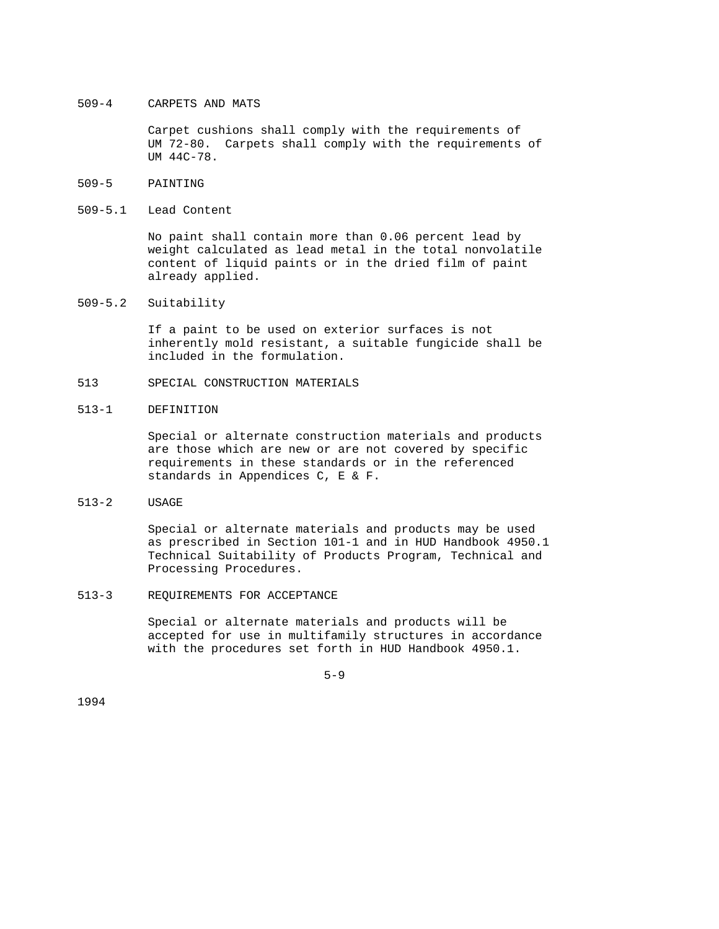### 509-4 CARPETS AND MATS

 Carpet cushions shall comply with the requirements of UM 72-80. Carpets shall comply with the requirements of UM 44C-78.

- 509-5 PAINTING
- 509-5.1 Lead Content

 No paint shall contain more than 0.06 percent lead by weight calculated as lead metal in the total nonvolatile content of liquid paints or in the dried film of paint already applied.

509-5.2 Suitability

 If a paint to be used on exterior surfaces is not inherently mold resistant, a suitable fungicide shall be included in the formulation.

- 513 SPECIAL CONSTRUCTION MATERIALS
- 513-1 DEFINITION

 Special or alternate construction materials and products are those which are new or are not covered by specific requirements in these standards or in the referenced standards in Appendices C, E & F.

513-2 USAGE

 Special or alternate materials and products may be used as prescribed in Section 101-1 and in HUD Handbook 4950.1 Technical Suitability of Products Program, Technical and Processing Procedures.

513-3 REQUIREMENTS FOR ACCEPTANCE

 Special or alternate materials and products will be accepted for use in multifamily structures in accordance with the procedures set forth in HUD Handbook 4950.1.

 $5-9$ 

1994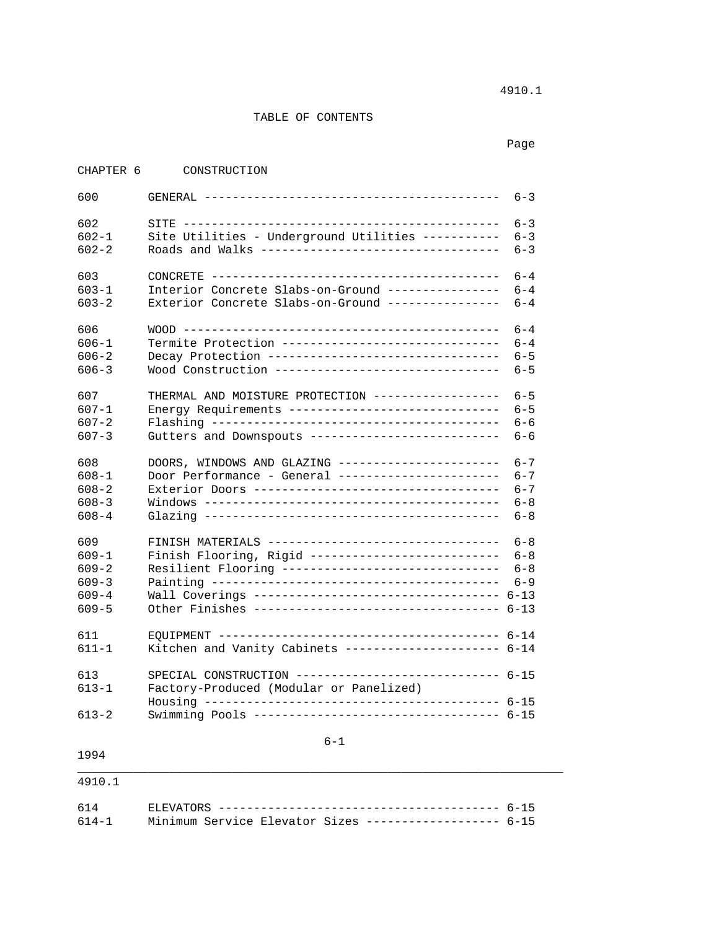4910.1

# TABLE OF CONTENTS

in the control of the control of the control of the control of the control of the control of the control of the control of the control of the control of the control of the control of the control of the control of the contr

| CHAPTER 6 | CONSTRUCTION                                           |         |
|-----------|--------------------------------------------------------|---------|
| 600       |                                                        | $6 - 3$ |
|           |                                                        |         |
| 602       |                                                        | $6 - 3$ |
| $602 - 1$ | Site Utilities - Underground Utilities -----------     | $6 - 3$ |
| $602 - 2$ | Roads and Walks ----------------------------------     | $6 - 3$ |
| 603       |                                                        | $6 - 4$ |
| $603 - 1$ | Interior Concrete Slabs-on-Ground ----------------     | $6 - 4$ |
| $603 - 2$ | Exterior Concrete Slabs-on-Ground ---------------      | $6 - 4$ |
| 606       |                                                        | $6 - 4$ |
| $606 - 1$ | Termite Protection -------------------------------     | $6 - 4$ |
| $606 - 2$ | Decay Protection --------------------------------      | $6 - 5$ |
| $606 - 3$ | Wood Construction --------------------------------     | $6 - 5$ |
|           |                                                        |         |
| 607       | THERMAL AND MOISTURE PROTECTION ------------------     | $6 - 5$ |
| $607 - 1$ | Energy Requirements ------------------------------     | $6 - 5$ |
| $607 - 2$ |                                                        | $6 - 6$ |
| $607 - 3$ | Gutters and Downspouts ---------------------------     | $6 - 6$ |
|           |                                                        |         |
| 608       | DOORS, WINDOWS AND GLAZING -----------------------     | $6 - 7$ |
| $608 - 1$ | Door Performance - General ----------------------      | $6 - 7$ |
| $608 - 2$ |                                                        | $6 - 7$ |
| $608 - 3$ |                                                        | $6 - 8$ |
| $608 - 4$ |                                                        | $6 - 8$ |
|           |                                                        |         |
| 609       | FINISH MATERIALS --------------------------------      | $6 - 8$ |
| $609 - 1$ | Finish Flooring, Rigid ---------------------------     | $6 - 8$ |
| $609 - 2$ | Resilient Flooring -------------------------------     | $6 - 8$ |
| $609 - 3$ |                                                        | $6 - 9$ |
| $609 - 4$ | Wall Coverings ---------------------------------- 6-13 |         |
| $609 - 5$ | Other Finishes ---------------------------------- 6-13 |         |
| 611       |                                                        |         |
| $611 - 1$ | Kitchen and Vanity Cabinets --------------------- 6-14 |         |
|           |                                                        |         |
| 613       | SPECIAL CONSTRUCTION ---------------------------- 6-15 |         |
| $613 - 1$ | Factory-Produced (Modular or Panelized)                |         |
|           |                                                        |         |
| $613 - 2$ | Swimming Pools ---------------------------------- 6-15 |         |
|           |                                                        |         |
|           | $6 - 1$                                                |         |
| 1994      |                                                        |         |

4910.1

| 614-1 Minimum Service Elevator Sizes ------------------- 6-15 |  |
|---------------------------------------------------------------|--|

\_\_\_\_\_\_\_\_\_\_\_\_\_\_\_\_\_\_\_\_\_\_\_\_\_\_\_\_\_\_\_\_\_\_\_\_\_\_\_\_\_\_\_\_\_\_\_\_\_\_\_\_\_\_\_\_\_\_\_\_\_\_\_\_\_\_\_\_\_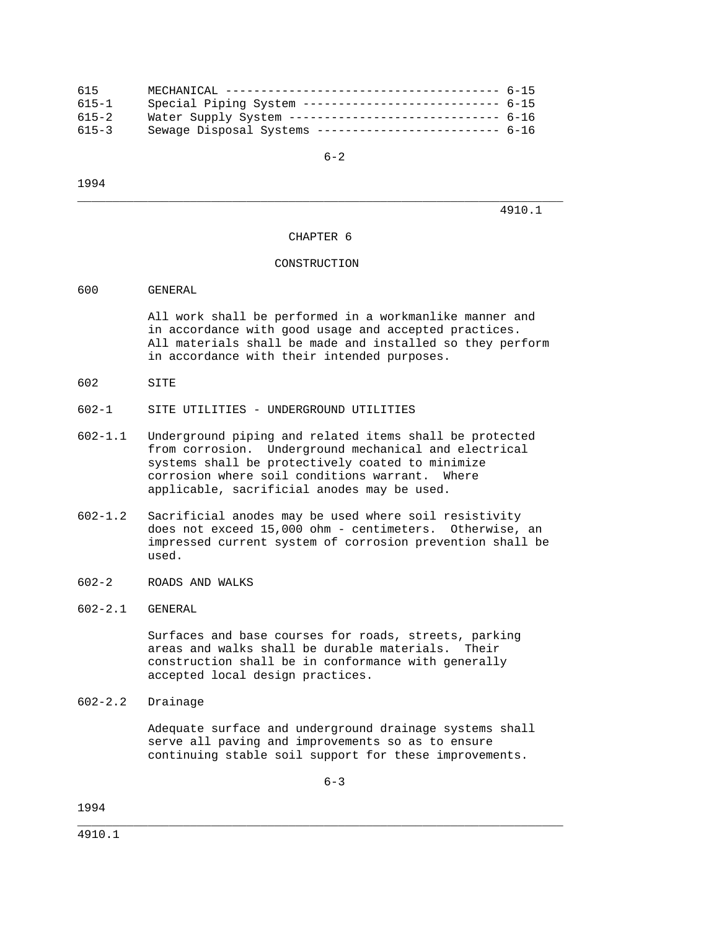| 615       |                                                         |  |
|-----------|---------------------------------------------------------|--|
| $615 - 1$ | Special Piping System --------------------------- 6-15  |  |
| $615 - 2$ | Water Supply System ----------------------------- 6-16  |  |
| $615 - 3$ | Sewage Disposal Systems -------------------------- 6-16 |  |

 $6-2$ 

1994

4910.1

#### CHAPTER 6

\_\_\_\_\_\_\_\_\_\_\_\_\_\_\_\_\_\_\_\_\_\_\_\_\_\_\_\_\_\_\_\_\_\_\_\_\_\_\_\_\_\_\_\_\_\_\_\_\_\_\_\_\_\_\_\_\_\_\_\_\_\_\_\_\_\_\_\_\_

### CONSTRUCTION

### 600 GENERAL

 All work shall be performed in a workmanlike manner and in accordance with good usage and accepted practices. All materials shall be made and installed so they perform in accordance with their intended purposes.

- 602 SITE
- 602-1 SITE UTILITIES UNDERGROUND UTILITIES
- 602-1.1 Underground piping and related items shall be protected from corrosion. Underground mechanical and electrical systems shall be protectively coated to minimize corrosion where soil conditions warrant. Where applicable, sacrificial anodes may be used.
- 602-1.2 Sacrificial anodes may be used where soil resistivity does not exceed 15,000 ohm - centimeters. Otherwise, an impressed current system of corrosion prevention shall be used.
- 602-2 ROADS AND WALKS
- 602-2.1 GENERAL

 Surfaces and base courses for roads, streets, parking areas and walks shall be durable materials. Their construction shall be in conformance with generally accepted local design practices.

602-2.2 Drainage

 Adequate surface and underground drainage systems shall serve all paving and improvements so as to ensure continuing stable soil support for these improvements.

 $6 - 3$ 

\_\_\_\_\_\_\_\_\_\_\_\_\_\_\_\_\_\_\_\_\_\_\_\_\_\_\_\_\_\_\_\_\_\_\_\_\_\_\_\_\_\_\_\_\_\_\_\_\_\_\_\_\_\_\_\_\_\_\_\_\_\_\_\_\_\_\_\_\_

1994

4910.1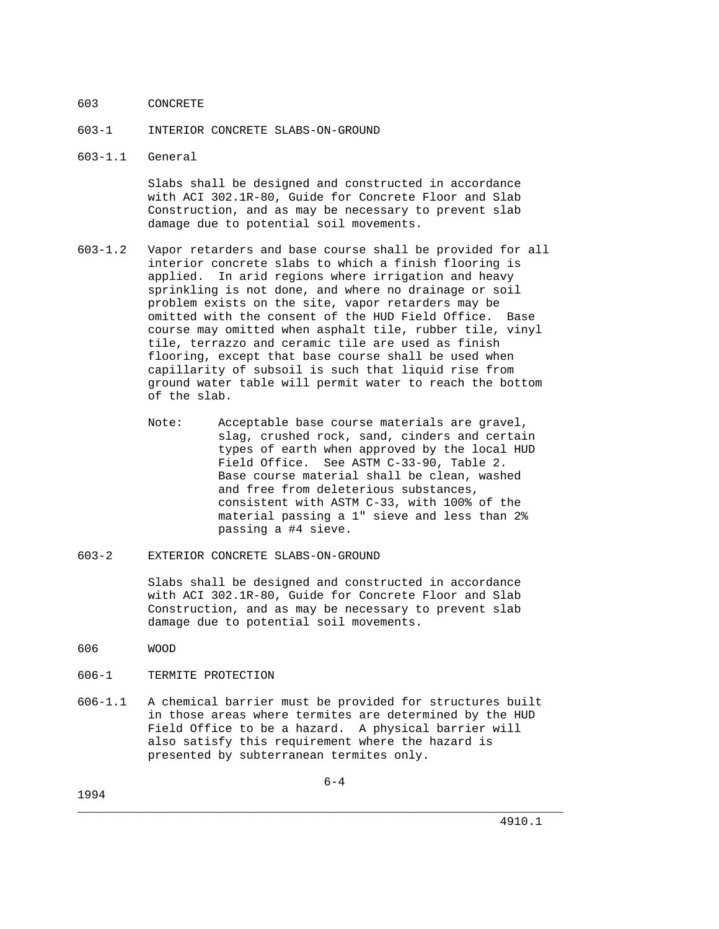### 603 CONCRETE

- 603-1 INTERIOR CONCRETE SLABS-ON-GROUND
- 603-1.1 General

 Slabs shall be designed and constructed in accordance with ACI 302.1R-80, Guide for Concrete Floor and Slab Construction, and as may be necessary to prevent slab damage due to potential soil movements.

- 603-1.2 Vapor retarders and base course shall be provided for all interior concrete slabs to which a finish flooring is applied. In arid regions where irrigation and heavy sprinkling is not done, and where no drainage or soil problem exists on the site, vapor retarders may be omitted with the consent of the HUD Field Office. Base course may omitted when asphalt tile, rubber tile, vinyl tile, terrazzo and ceramic tile are used as finish flooring, except that base course shall be used when capillarity of subsoil is such that liquid rise from ground water table will permit water to reach the bottom of the slab.
	- Note: Acceptable base course materials are gravel, slag, crushed rock, sand, cinders and certain types of earth when approved by the local HUD Field Office. See ASTM C-33-90, Table 2. Base course material shall be clean, washed and free from deleterious substances, consistent with ASTM C-33, with 100% of the material passing a 1" sieve and less than 2% passing a #4 sieve.
- 603-2 EXTERIOR CONCRETE SLABS-ON-GROUND

 Slabs shall be designed and constructed in accordance with ACI 302.1R-80, Guide for Concrete Floor and Slab Construction, and as may be necessary to prevent slab damage due to potential soil movements.

- 606 WOOD
- 606-1 TERMITE PROTECTION
- 606-1.1 A chemical barrier must be provided for structures built in those areas where termites are determined by the HUD Field Office to be a hazard. A physical barrier will also satisfy this requirement where the hazard is presented by subterranean termites only.

\_\_\_\_\_\_\_\_\_\_\_\_\_\_\_\_\_\_\_\_\_\_\_\_\_\_\_\_\_\_\_\_\_\_\_\_\_\_\_\_\_\_\_\_\_\_\_\_\_\_\_\_\_\_\_\_\_\_\_\_\_\_\_\_\_\_\_\_\_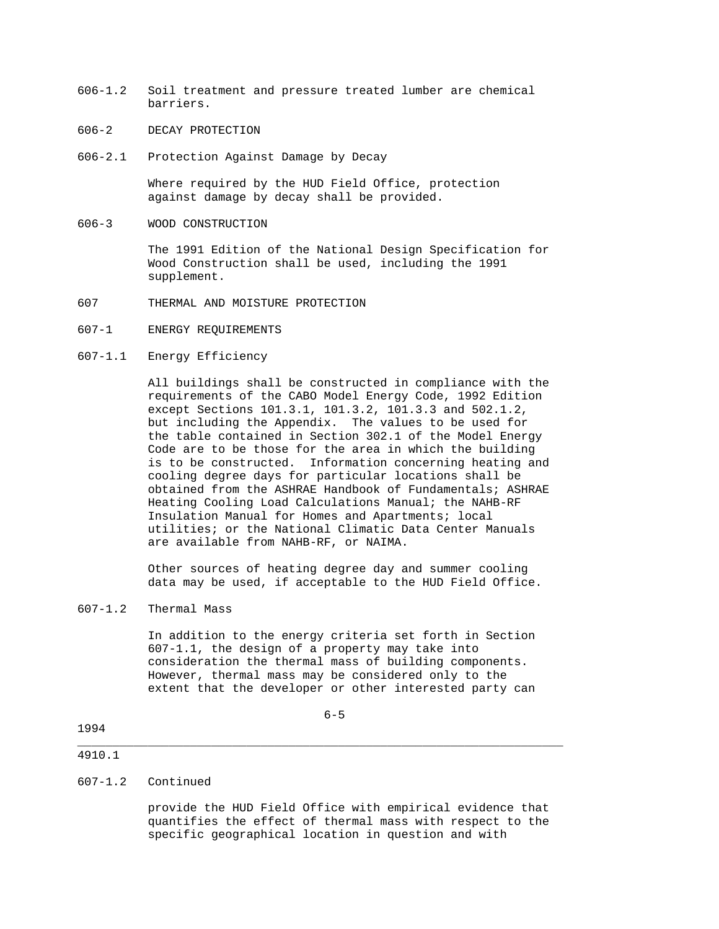- 606-1.2 Soil treatment and pressure treated lumber are chemical barriers.
- 606-2 DECAY PROTECTION
- 606-2.1 Protection Against Damage by Decay

 Where required by the HUD Field Office, protection against damage by decay shall be provided.

606-3 WOOD CONSTRUCTION

 The 1991 Edition of the National Design Specification for Wood Construction shall be used, including the 1991 supplement.

- 607 THERMAL AND MOISTURE PROTECTION
- 607-1 ENERGY REQUIREMENTS
- 607-1.1 Energy Efficiency

 All buildings shall be constructed in compliance with the requirements of the CABO Model Energy Code, 1992 Edition except Sections 101.3.1, 101.3.2, 101.3.3 and 502.1.2, but including the Appendix. The values to be used for the table contained in Section 302.1 of the Model Energy Code are to be those for the area in which the building is to be constructed. Information concerning heating and cooling degree days for particular locations shall be obtained from the ASHRAE Handbook of Fundamentals; ASHRAE Heating Cooling Load Calculations Manual; the NAHB-RF Insulation Manual for Homes and Apartments; local utilities; or the National Climatic Data Center Manuals are available from NAHB-RF, or NAIMA.

 Other sources of heating degree day and summer cooling data may be used, if acceptable to the HUD Field Office.

607-1.2 Thermal Mass

 In addition to the energy criteria set forth in Section 607-1.1, the design of a property may take into consideration the thermal mass of building components. However, thermal mass may be considered only to the extent that the developer or other interested party can

 $6-5$ 

\_\_\_\_\_\_\_\_\_\_\_\_\_\_\_\_\_\_\_\_\_\_\_\_\_\_\_\_\_\_\_\_\_\_\_\_\_\_\_\_\_\_\_\_\_\_\_\_\_\_\_\_\_\_\_\_\_\_\_\_\_\_\_\_\_\_\_\_\_

### 1994

#### 4910.1

### 607-1.2 Continued

 provide the HUD Field Office with empirical evidence that quantifies the effect of thermal mass with respect to the specific geographical location in question and with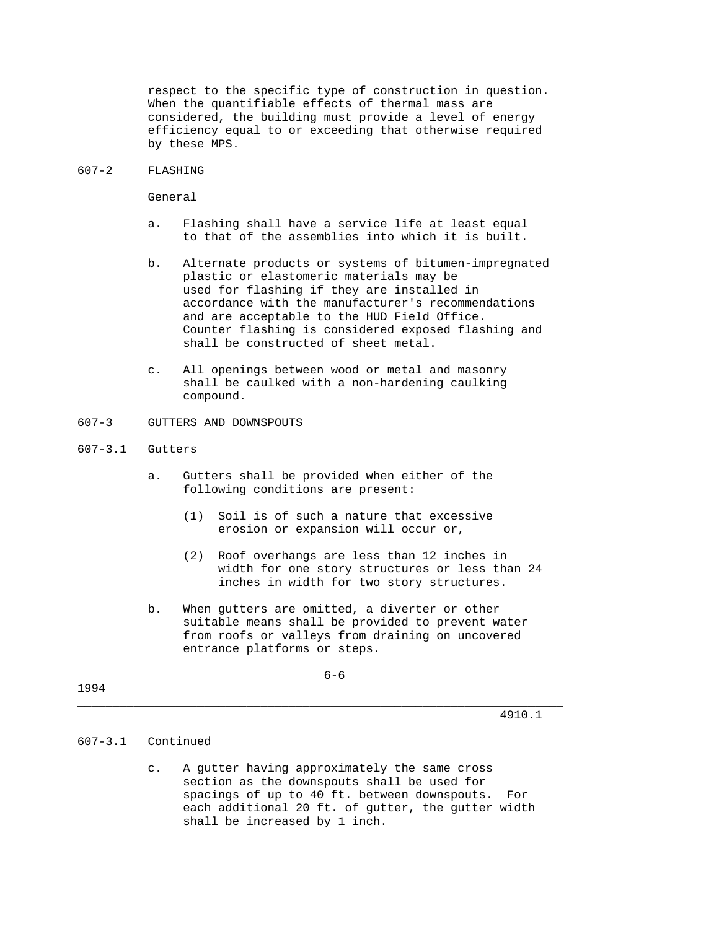respect to the specific type of construction in question. When the quantifiable effects of thermal mass are considered, the building must provide a level of energy efficiency equal to or exceeding that otherwise required by these MPS.

#### 607-2 FLASHING

General

- a. Flashing shall have a service life at least equal to that of the assemblies into which it is built.
- b. Alternate products or systems of bitumen-impregnated plastic or elastomeric materials may be used for flashing if they are installed in accordance with the manufacturer's recommendations and are acceptable to the HUD Field Office. Counter flashing is considered exposed flashing and shall be constructed of sheet metal.
- c. All openings between wood or metal and masonry shall be caulked with a non-hardening caulking compound.
- 607-3 GUTTERS AND DOWNSPOUTS
- 607-3.1 Gutters
	- a. Gutters shall be provided when either of the following conditions are present:
		- (1) Soil is of such a nature that excessive erosion or expansion will occur or,
		- (2) Roof overhangs are less than 12 inches in width for one story structures or less than 24 inches in width for two story structures.
	- b. When gutters are omitted, a diverter or other suitable means shall be provided to prevent water from roofs or valleys from draining on uncovered entrance platforms or steps.

 $6-6$ 

\_\_\_\_\_\_\_\_\_\_\_\_\_\_\_\_\_\_\_\_\_\_\_\_\_\_\_\_\_\_\_\_\_\_\_\_\_\_\_\_\_\_\_\_\_\_\_\_\_\_\_\_\_\_\_\_\_\_\_\_\_\_\_\_\_\_\_\_\_

1994

4910.1

# 607-3.1 Continued

 c. A gutter having approximately the same cross section as the downspouts shall be used for spacings of up to 40 ft. between downspouts. For each additional 20 ft. of gutter, the gutter width shall be increased by 1 inch.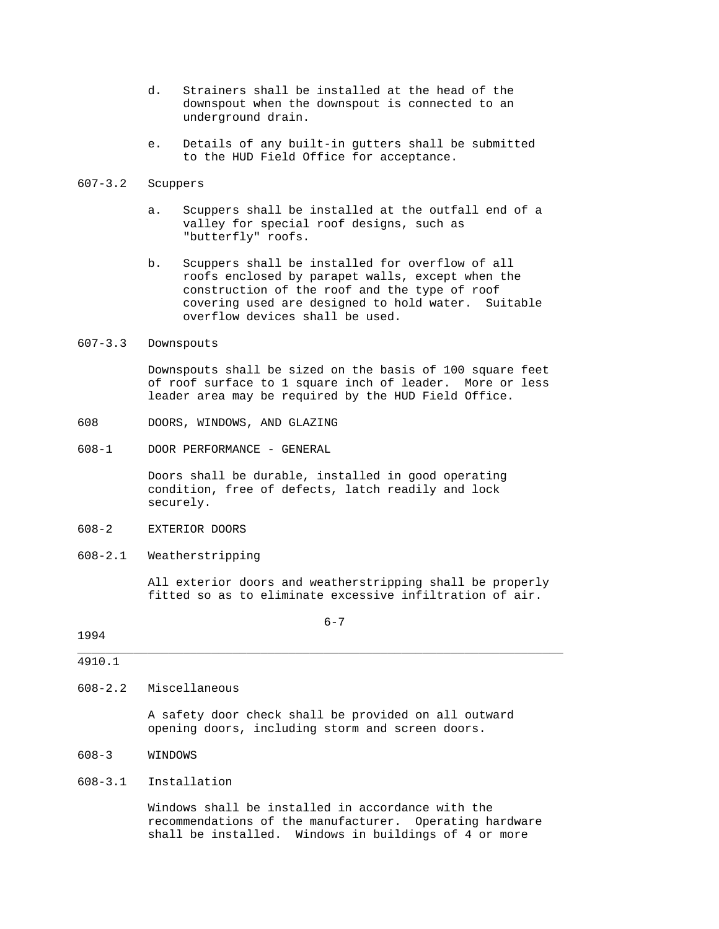- d. Strainers shall be installed at the head of the downspout when the downspout is connected to an underground drain.
- e. Details of any built-in gutters shall be submitted to the HUD Field Office for acceptance.

# 607-3.2 Scuppers

- a. Scuppers shall be installed at the outfall end of a valley for special roof designs, such as "butterfly" roofs.
- b. Scuppers shall be installed for overflow of all roofs enclosed by parapet walls, except when the construction of the roof and the type of roof covering used are designed to hold water. Suitable overflow devices shall be used.

#### 607-3.3 Downspouts

 Downspouts shall be sized on the basis of 100 square feet of roof surface to 1 square inch of leader. More or less leader area may be required by the HUD Field Office.

- 608 DOORS, WINDOWS, AND GLAZING
- 608-1 DOOR PERFORMANCE GENERAL

 Doors shall be durable, installed in good operating condition, free of defects, latch readily and lock securely.

- 608-2 EXTERIOR DOORS
- 608-2.1 Weatherstripping

 All exterior doors and weatherstripping shall be properly fitted so as to eliminate excessive infiltration of air.

 $6 - 7$ 

\_\_\_\_\_\_\_\_\_\_\_\_\_\_\_\_\_\_\_\_\_\_\_\_\_\_\_\_\_\_\_\_\_\_\_\_\_\_\_\_\_\_\_\_\_\_\_\_\_\_\_\_\_\_\_\_\_\_\_\_\_\_\_\_\_\_\_\_\_

### 1994

#### 4910.1

#### 608-2.2 Miscellaneous

 A safety door check shall be provided on all outward opening doors, including storm and screen doors.

#### 608-3 WINDOWS

### 608-3.1 Installation

 Windows shall be installed in accordance with the recommendations of the manufacturer. Operating hardware shall be installed. Windows in buildings of 4 or more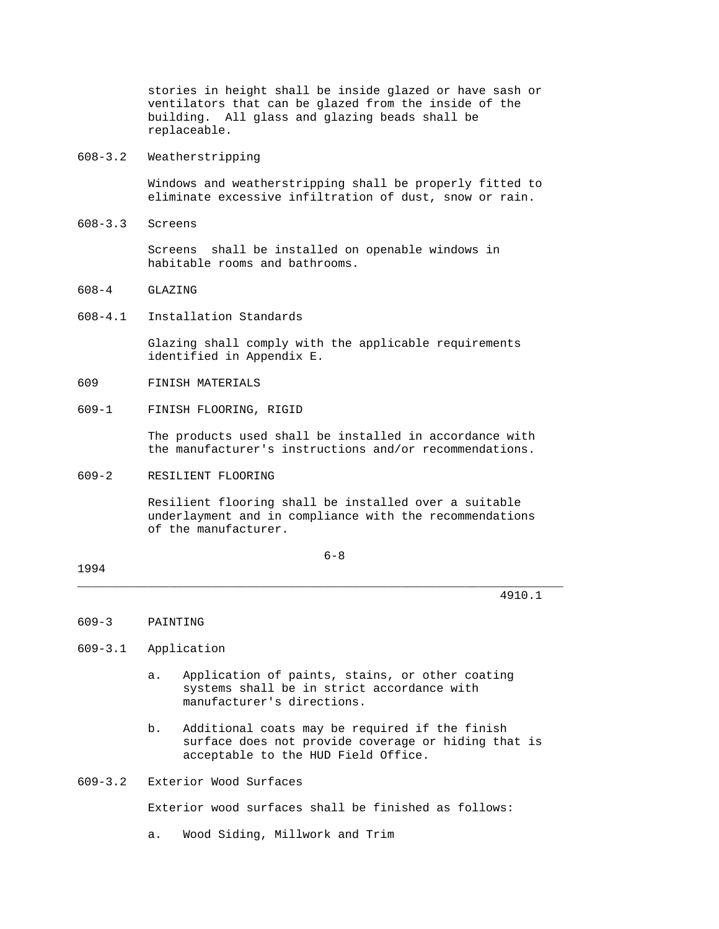stories in height shall be inside glazed or have sash or ventilators that can be glazed from the inside of the building. All glass and glazing beads shall be replaceable.

608-3.2 Weatherstripping

 Windows and weatherstripping shall be properly fitted to eliminate excessive infiltration of dust, snow or rain.

608-3.3 Screens

 Screens shall be installed on openable windows in habitable rooms and bathrooms.

- 608-4 GLAZING
- 608-4.1 Installation Standards

 Glazing shall comply with the applicable requirements identified in Appendix E.

- 609 FINISH MATERIALS
- 609-1 FINISH FLOORING, RIGID

 The products used shall be installed in accordance with the manufacturer's instructions and/or recommendations.

#### 609-2 RESILIENT FLOORING

 Resilient flooring shall be installed over a suitable underlayment and in compliance with the recommendations of the manufacturer.

 $6-8$ 

\_\_\_\_\_\_\_\_\_\_\_\_\_\_\_\_\_\_\_\_\_\_\_\_\_\_\_\_\_\_\_\_\_\_\_\_\_\_\_\_\_\_\_\_\_\_\_\_\_\_\_\_\_\_\_\_\_\_\_\_\_\_\_\_\_\_\_\_\_

1994

4910.1

#### 609-3 PAINTING

#### 609-3.1 Application

- a. Application of paints, stains, or other coating systems shall be in strict accordance with manufacturer's directions.
- b. Additional coats may be required if the finish surface does not provide coverage or hiding that is acceptable to the HUD Field Office.

# 609-3.2 Exterior Wood Surfaces

Exterior wood surfaces shall be finished as follows:

a. Wood Siding, Millwork and Trim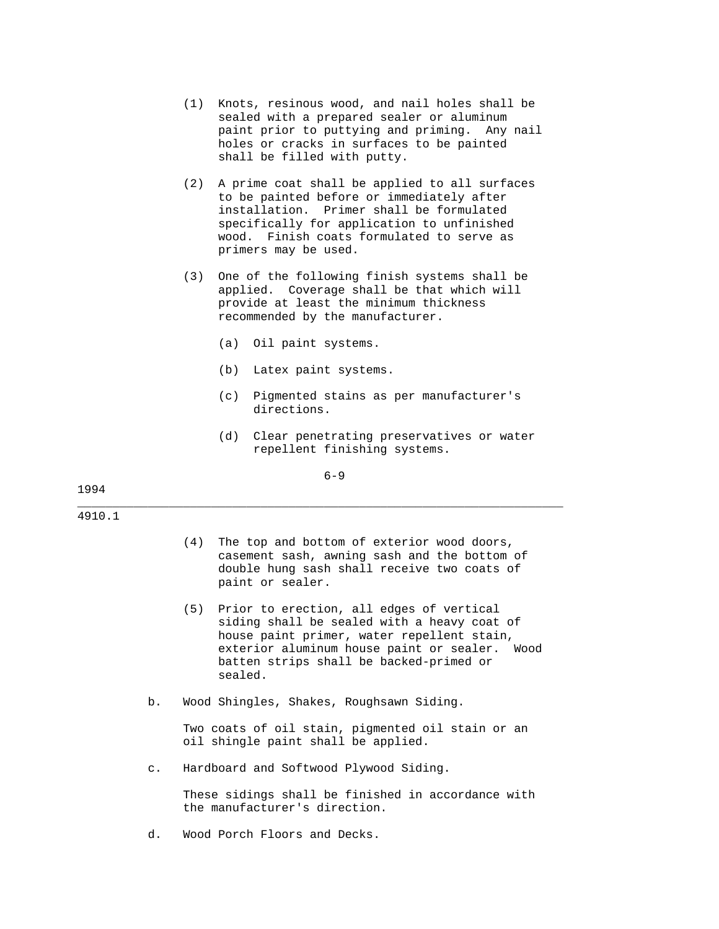- (1) Knots, resinous wood, and nail holes shall be sealed with a prepared sealer or aluminum paint prior to puttying and priming. Any nail holes or cracks in surfaces to be painted shall be filled with putty.
- (2) A prime coat shall be applied to all surfaces to be painted before or immediately after installation. Primer shall be formulated specifically for application to unfinished wood. Finish coats formulated to serve as primers may be used.
- (3) One of the following finish systems shall be applied. Coverage shall be that which will provide at least the minimum thickness recommended by the manufacturer.
	- (a) Oil paint systems.
	- (b) Latex paint systems.
	- (c) Pigmented stains as per manufacturer's directions.
	- (d) Clear penetrating preservatives or water repellent finishing systems.

### $6 - 9$

\_\_\_\_\_\_\_\_\_\_\_\_\_\_\_\_\_\_\_\_\_\_\_\_\_\_\_\_\_\_\_\_\_\_\_\_\_\_\_\_\_\_\_\_\_\_\_\_\_\_\_\_\_\_\_\_\_\_\_\_\_\_\_\_\_\_\_\_\_

1994

#### 4910.1

- (4) The top and bottom of exterior wood doors, casement sash, awning sash and the bottom of double hung sash shall receive two coats of paint or sealer.
- (5) Prior to erection, all edges of vertical siding shall be sealed with a heavy coat of house paint primer, water repellent stain, exterior aluminum house paint or sealer. Wood batten strips shall be backed-primed or sealed.
- b. Wood Shingles, Shakes, Roughsawn Siding.

 Two coats of oil stain, pigmented oil stain or an oil shingle paint shall be applied.

c. Hardboard and Softwood Plywood Siding.

 These sidings shall be finished in accordance with the manufacturer's direction.

d. Wood Porch Floors and Decks.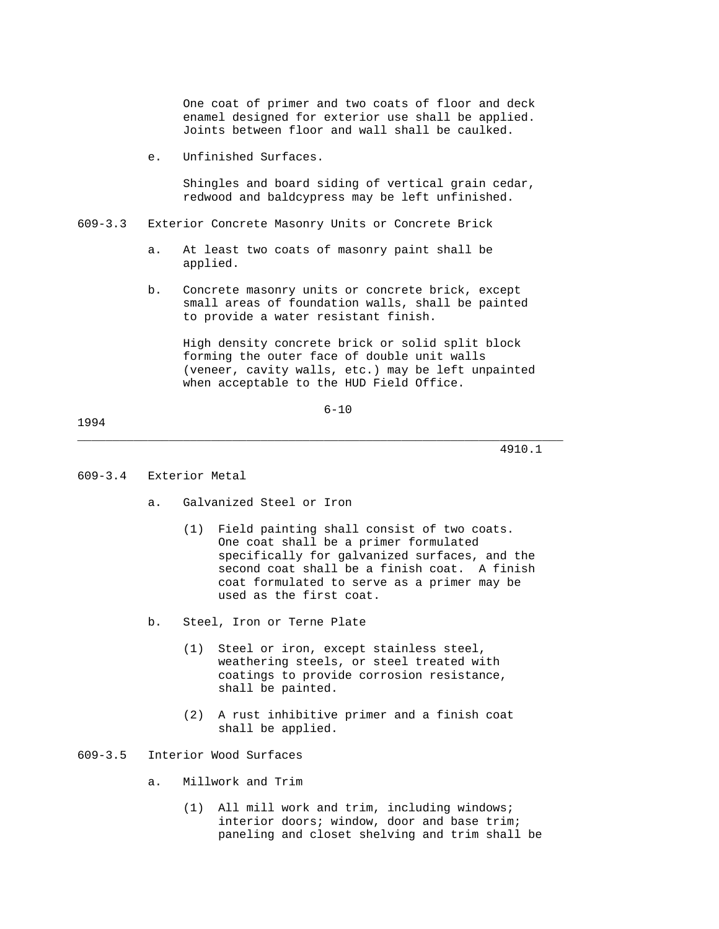One coat of primer and two coats of floor and deck enamel designed for exterior use shall be applied. Joints between floor and wall shall be caulked.

e. Unfinished Surfaces.

 Shingles and board siding of vertical grain cedar, redwood and baldcypress may be left unfinished.

- 609-3.3 Exterior Concrete Masonry Units or Concrete Brick
	- a. At least two coats of masonry paint shall be applied.
	- b. Concrete masonry units or concrete brick, except small areas of foundation walls, shall be painted to provide a water resistant finish.

 High density concrete brick or solid split block forming the outer face of double unit walls (veneer, cavity walls, etc.) may be left unpainted when acceptable to the HUD Field Office.

6-10

\_\_\_\_\_\_\_\_\_\_\_\_\_\_\_\_\_\_\_\_\_\_\_\_\_\_\_\_\_\_\_\_\_\_\_\_\_\_\_\_\_\_\_\_\_\_\_\_\_\_\_\_\_\_\_\_\_\_\_\_\_\_\_\_\_\_\_\_\_

#### 1994

4910.1

#### 609-3.4 Exterior Metal

- a. Galvanized Steel or Iron
	- (1) Field painting shall consist of two coats. One coat shall be a primer formulated specifically for galvanized surfaces, and the second coat shall be a finish coat. A finish coat formulated to serve as a primer may be used as the first coat.
- b. Steel, Iron or Terne Plate
	- (1) Steel or iron, except stainless steel, weathering steels, or steel treated with coatings to provide corrosion resistance, shall be painted.
	- (2) A rust inhibitive primer and a finish coat shall be applied.

### 609-3.5 Interior Wood Surfaces

- a. Millwork and Trim
	- (1) All mill work and trim, including windows; interior doors; window, door and base trim; paneling and closet shelving and trim shall be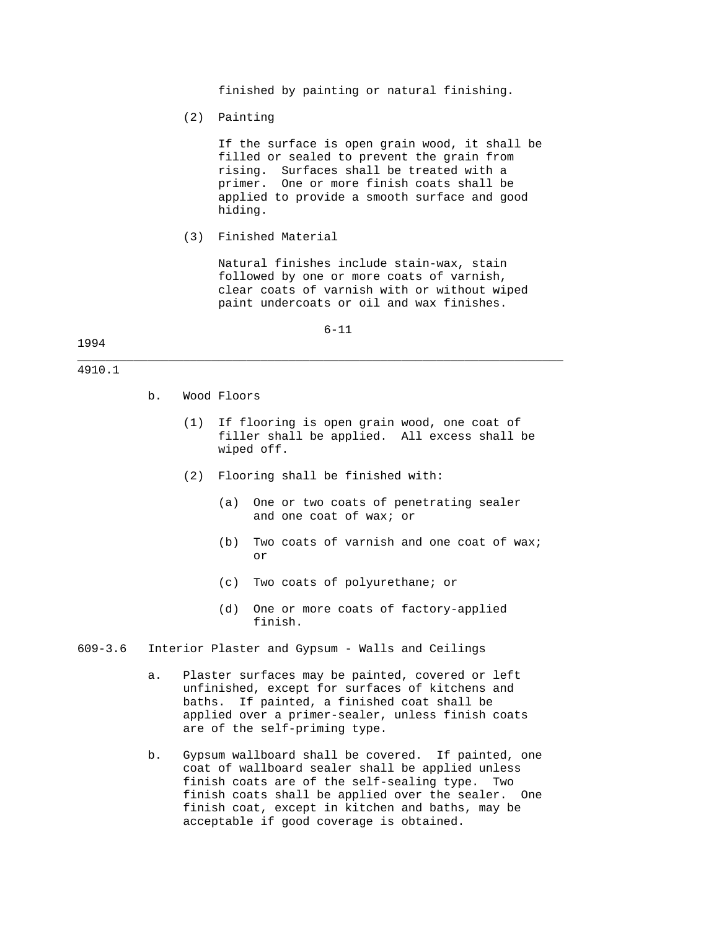finished by painting or natural finishing.

(2) Painting

 If the surface is open grain wood, it shall be filled or sealed to prevent the grain from rising. Surfaces shall be treated with a primer. One or more finish coats shall be applied to provide a smooth surface and good hiding.

(3) Finished Material

 Natural finishes include stain-wax, stain followed by one or more coats of varnish, clear coats of varnish with or without wiped paint undercoats or oil and wax finishes.

6-11

\_\_\_\_\_\_\_\_\_\_\_\_\_\_\_\_\_\_\_\_\_\_\_\_\_\_\_\_\_\_\_\_\_\_\_\_\_\_\_\_\_\_\_\_\_\_\_\_\_\_\_\_\_\_\_\_\_\_\_\_\_\_\_\_\_\_\_\_\_

### 1994

#### 4910.1

- b. Wood Floors
	- (1) If flooring is open grain wood, one coat of filler shall be applied. All excess shall be wiped off.
	- (2) Flooring shall be finished with:
		- (a) One or two coats of penetrating sealer and one coat of wax; or
- (b) Two coats of varnish and one coat of wax; or
	- (c) Two coats of polyurethane; or
	- (d) One or more coats of factory-applied finish.
- 609-3.6 Interior Plaster and Gypsum Walls and Ceilings
	- a. Plaster surfaces may be painted, covered or left unfinished, except for surfaces of kitchens and baths. If painted, a finished coat shall be applied over a primer-sealer, unless finish coats are of the self-priming type.
	- b. Gypsum wallboard shall be covered. If painted, one coat of wallboard sealer shall be applied unless finish coats are of the self-sealing type. Two finish coats shall be applied over the sealer. One finish coat, except in kitchen and baths, may be acceptable if good coverage is obtained.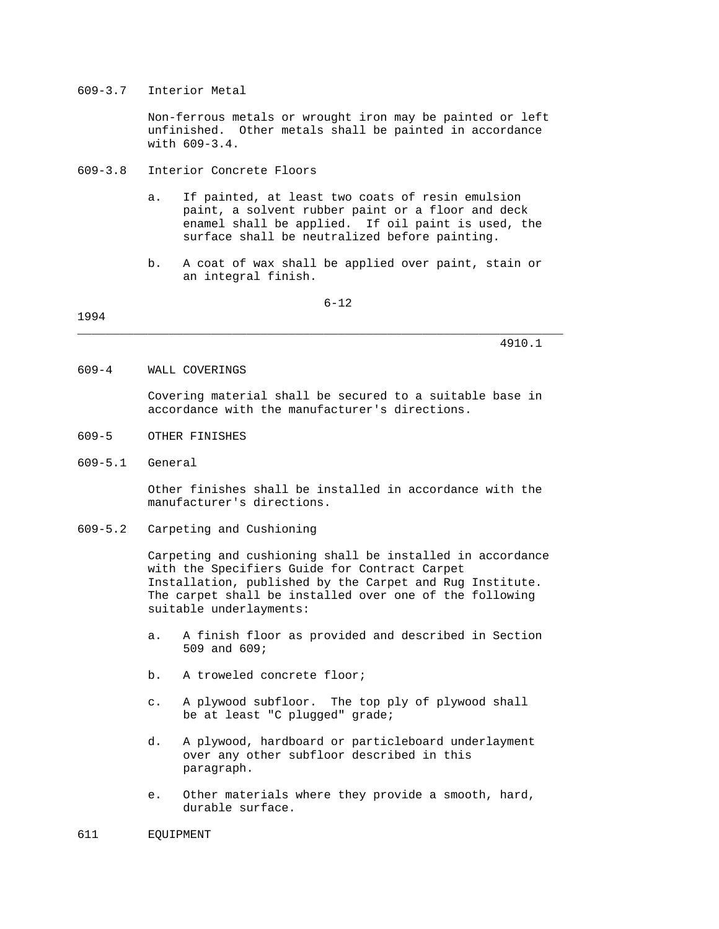#### 609-3.7 Interior Metal

 Non-ferrous metals or wrought iron may be painted or left unfinished. Other metals shall be painted in accordance with 609-3.4.

- 609-3.8 Interior Concrete Floors
	- a. If painted, at least two coats of resin emulsion paint, a solvent rubber paint or a floor and deck enamel shall be applied. If oil paint is used, the surface shall be neutralized before painting.
	- b. A coat of wax shall be applied over paint, stain or an integral finish.

6-12

1994

4910.1

609-4 WALL COVERINGS

 Covering material shall be secured to a suitable base in accordance with the manufacturer's directions.

- 609-5 OTHER FINISHES
- 609-5.1 General

 Other finishes shall be installed in accordance with the manufacturer's directions.

609-5.2 Carpeting and Cushioning

 Carpeting and cushioning shall be installed in accordance with the Specifiers Guide for Contract Carpet Installation, published by the Carpet and Rug Institute. The carpet shall be installed over one of the following suitable underlayments:

- a. A finish floor as provided and described in Section 509 and 609;
- b. A troweled concrete floor;
- c. A plywood subfloor. The top ply of plywood shall be at least "C plugged" grade;
- d. A plywood, hardboard or particleboard underlayment over any other subfloor described in this paragraph.
- e. Other materials where they provide a smooth, hard, durable surface.
- 611 EQUIPMENT

\_\_\_\_\_\_\_\_\_\_\_\_\_\_\_\_\_\_\_\_\_\_\_\_\_\_\_\_\_\_\_\_\_\_\_\_\_\_\_\_\_\_\_\_\_\_\_\_\_\_\_\_\_\_\_\_\_\_\_\_\_\_\_\_\_\_\_\_\_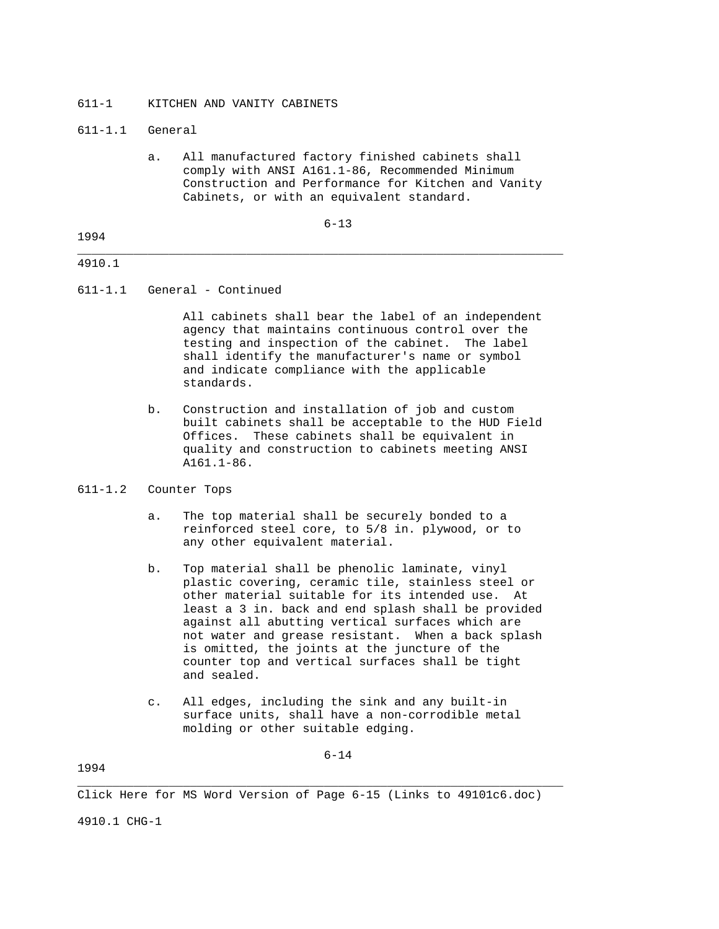### 611-1 KITCHEN AND VANITY CABINETS

#### 611-1.1 General

 a. All manufactured factory finished cabinets shall comply with ANSI A161.1-86, Recommended Minimum Construction and Performance for Kitchen and Vanity Cabinets, or with an equivalent standard.

6-13

# 1994 \_\_\_\_\_\_\_\_\_\_\_\_\_\_\_\_\_\_\_\_\_\_\_\_\_\_\_\_\_\_\_\_\_\_\_\_\_\_\_\_\_\_\_\_\_\_\_\_\_\_\_\_\_\_\_\_\_\_\_\_\_\_\_\_\_\_\_\_\_

# 4910.1

611-1.1 General - Continued

 All cabinets shall bear the label of an independent agency that maintains continuous control over the testing and inspection of the cabinet. The label shall identify the manufacturer's name or symbol and indicate compliance with the applicable standards.

 b. Construction and installation of job and custom built cabinets shall be acceptable to the HUD Field Offices. These cabinets shall be equivalent in quality and construction to cabinets meeting ANSI A161.1-86.

# 611-1.2 Counter Tops

- a. The top material shall be securely bonded to a reinforced steel core, to 5/8 in. plywood, or to any other equivalent material.
- b. Top material shall be phenolic laminate, vinyl plastic covering, ceramic tile, stainless steel or other material suitable for its intended use. At least a 3 in. back and end splash shall be provided against all abutting vertical surfaces which are not water and grease resistant. When a back splash is omitted, the joints at the juncture of the counter top and vertical surfaces shall be tight and sealed.
- c. All edges, including the sink and any built-in surface units, shall have a non-corrodible metal molding or other suitable edging.

1994

Click Here for MS Word Version of Page 6-15 (Links to 49101c6.doc)

\_\_\_\_\_\_\_\_\_\_\_\_\_\_\_\_\_\_\_\_\_\_\_\_\_\_\_\_\_\_\_\_\_\_\_\_\_\_\_\_\_\_\_\_\_\_\_\_\_\_\_\_\_\_\_\_\_\_\_\_\_\_\_\_\_\_\_\_\_

4910.1 CHG-1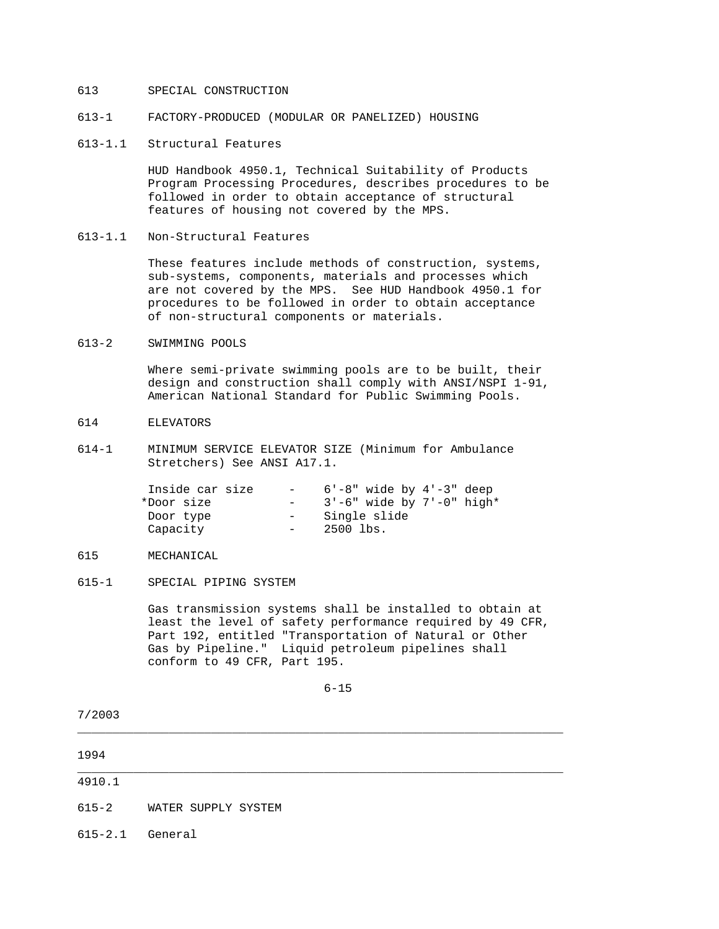### 613 SPECIAL CONSTRUCTION

- 613-1 FACTORY-PRODUCED (MODULAR OR PANELIZED) HOUSING
- 613-1.1 Structural Features

 HUD Handbook 4950.1, Technical Suitability of Products Program Processing Procedures, describes procedures to be followed in order to obtain acceptance of structural features of housing not covered by the MPS.

613-1.1 Non-Structural Features

 These features include methods of construction, systems, sub-systems, components, materials and processes which are not covered by the MPS. See HUD Handbook 4950.1 for procedures to be followed in order to obtain acceptance of non-structural components or materials.

#### 613-2 SWIMMING POOLS

 Where semi-private swimming pools are to be built, their design and construction shall comply with ANSI/NSPI 1-91, American National Standard for Public Swimming Pools.

- 614 ELEVATORS
- 614-1 MINIMUM SERVICE ELEVATOR SIZE (Minimum for Ambulance Stretchers) See ANSI A17.1.

| Inside car size | $\sim$ 100 $\mu$ | $6'$ -8" wide by $4'$ -3" deep  |
|-----------------|------------------|---------------------------------|
| *Door size      |                  | $3'-6$ " wide by $7'-0$ " high* |
| Door type       | $ -$             | Single slide                    |
| Capacity        | $ -$             | 2500 lbs.                       |

# 615 MECHANICAL

615-1 SPECIAL PIPING SYSTEM

 Gas transmission systems shall be installed to obtain at least the level of safety performance required by 49 CFR, Part 192, entitled "Transportation of Natural or Other Gas by Pipeline." Liquid petroleum pipelines shall conform to 49 CFR, Part 195.

6-15

7/2003

1994 \_\_\_\_\_\_\_\_\_\_\_\_\_\_\_\_\_\_\_\_\_\_\_\_\_\_\_\_\_\_\_\_\_\_\_\_\_\_\_\_\_\_\_\_\_\_\_\_\_\_\_\_\_\_\_\_\_\_\_\_\_\_\_\_\_\_\_\_\_ 4910.1 615-2 WATER SUPPLY SYSTEM

\_\_\_\_\_\_\_\_\_\_\_\_\_\_\_\_\_\_\_\_\_\_\_\_\_\_\_\_\_\_\_\_\_\_\_\_\_\_\_\_\_\_\_\_\_\_\_\_\_\_\_\_\_\_\_\_\_\_\_\_\_\_\_\_\_\_\_\_\_

615-2.1 General